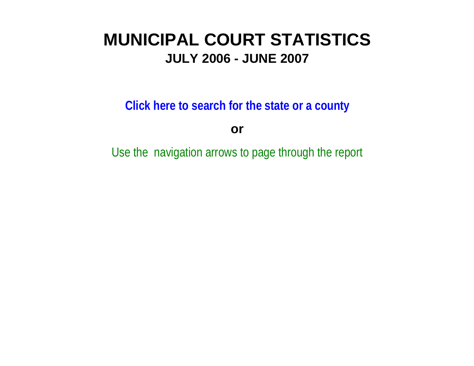# **MUNICIPAL COURT STATISTICSJULY 2006 - JUNE 2007**

**Click here to search for the state or a county**

**or**

Use the navigation arrows to page through the report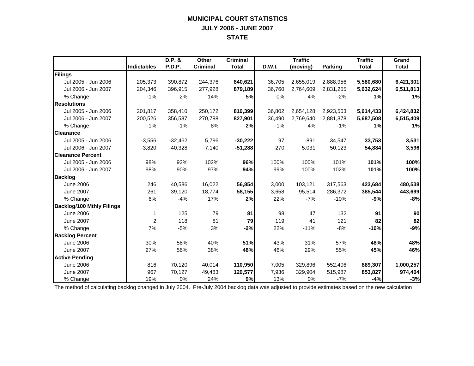## **MUNICIPAL COURT STATISTICS JULY 2006 - JUNE 2007 STATE**

|                                  |                    | D.P. &    | <b>Other</b>    | <b>Criminal</b> |               | <b>Traffic</b> |                | <b>Traffic</b> | Grand        |
|----------------------------------|--------------------|-----------|-----------------|-----------------|---------------|----------------|----------------|----------------|--------------|
|                                  | <b>Indictables</b> | P.D.P.    | <b>Criminal</b> | <b>Total</b>    | <b>D.W.I.</b> | (moving)       | <b>Parking</b> | <b>Total</b>   | <b>Total</b> |
| Filings                          |                    |           |                 |                 |               |                |                |                |              |
| Jul 2005 - Jun 2006              | 205,373            | 390,872   | 244,376         | 840,621         | 36,705        | 2,655,019      | 2,888,956      | 5,580,680      | 6,421,301    |
| Jul 2006 - Jun 2007              | 204,346            | 396,915   | 277,928         | 879,189         | 36,760        | 2,764,609      | 2,831,255      | 5,632,624      | 6,511,813    |
| % Change                         | $-1%$              | 2%        | 14%             | 5%              | 0%            | 4%             | $-2%$          | 1%             | 1%           |
| <b>Resolutions</b>               |                    |           |                 |                 |               |                |                |                |              |
| Jul 2005 - Jun 2006              | 201,817            | 358,410   | 250,172         | 810,399         | 36,802        | 2,654,128      | 2,923,503      | 5,614,433      | 6,424,832    |
| Jul 2006 - Jun 2007              | 200,526            | 356,587   | 270,788         | 827,901         | 36,490        | 2,769,640      | 2,881,378      | 5,687,508      | 6,515,409    |
| % Change                         | $-1%$              | $-1%$     | 8%              | 2%              | $-1%$         | 4%             | $-1%$          | 1%             | 1%           |
| <b>Clearance</b>                 |                    |           |                 |                 |               |                |                |                |              |
| Jul 2005 - Jun 2006              | $-3,556$           | $-32,462$ | 5,796           | $-30,222$       | 97            | $-891$         | 34,547         | 33,753         | 3,531        |
| Jul 2006 - Jun 2007              | $-3,820$           | $-40,328$ | $-7,140$        | $-51,288$       | $-270$        | 5,031          | 50,123         | 54,884         | 3,596        |
| <b>Clearance Percent</b>         |                    |           |                 |                 |               |                |                |                |              |
| Jul 2005 - Jun 2006              | 98%                | 92%       | 102%            | 96%             | 100%          | 100%           | 101%           | 101%           | 100%         |
| Jul 2006 - Jun 2007              | 98%                | 90%       | 97%             | 94%             | 99%           | 100%           | 102%           | 101%           | 100%         |
| <b>Backlog</b>                   |                    |           |                 |                 |               |                |                |                |              |
| <b>June 2006</b>                 | 246                | 40,586    | 16,022          | 56,854          | 3,000         | 103,121        | 317,563        | 423,684        | 480,538      |
| <b>June 2007</b>                 | 261                | 39,120    | 18,774          | 58,155          | 3,658         | 95,514         | 286,372        | 385,544        | 443,699      |
| % Change                         | 6%                 | $-4%$     | 17%             | 2%              | 22%           | $-7%$          | $-10%$         | $-9%$          | $-8%$        |
| <b>Backlog/100 Mthly Filings</b> |                    |           |                 |                 |               |                |                |                |              |
| <b>June 2006</b>                 | 1                  | 125       | 79              | 81              | 98            | 47             | 132            | 91             | 90           |
| <b>June 2007</b>                 | $\overline{2}$     | 118       | 81              | 79              | 119           | 41             | 121            | 82             | 82           |
| % Change                         | 7%                 | $-5%$     | 3%              | $-2%$           | 22%           | $-11%$         | $-8%$          | $-10%$         | $-9%$        |
| <b>Backlog Percent</b>           |                    |           |                 |                 |               |                |                |                |              |
| <b>June 2006</b>                 | 30%                | 58%       | 40%             | 51%             | 43%           | 31%            | 57%            | 48%            | 48%          |
| <b>June 2007</b>                 | 27%                | 56%       | 38%             | 48%             | 46%           | 29%            | 55%            | 45%            | 46%          |
| <b>Active Pending</b>            |                    |           |                 |                 |               |                |                |                |              |
| <b>June 2006</b>                 | 816                | 70,120    | 40,014          | 110,950         | 7,005         | 329,896        | 552,406        | 889,307        | 1,000,257    |
| <b>June 2007</b>                 | 967                | 70,127    | 49,483          | 120,577         | 7,936         | 329,904        | 515,987        | 853,827        | 974,404      |
| % Change                         | 19%                | 0%        | 24%             | 9%              | 13%           | 0%             | $-7%$          | $-4%$          | $-3%$        |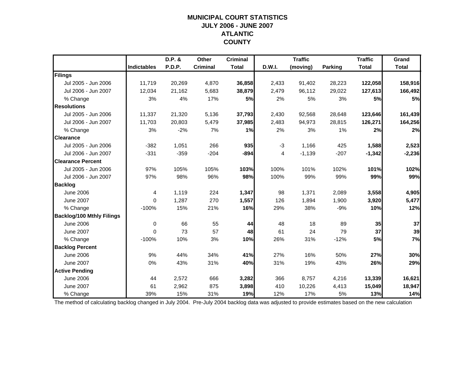#### **MUNICIPAL COURT STATISTICS JULY 2006 - JUNE 2007 ATLANTIC COUNTY**

|                                  |                    | D.P. & | Other           | <b>Criminal</b> |        | <b>Traffic</b> |                | <b>Traffic</b> | Grand        |
|----------------------------------|--------------------|--------|-----------------|-----------------|--------|----------------|----------------|----------------|--------------|
|                                  | <b>Indictables</b> | P.D.P. | <b>Criminal</b> | <b>Total</b>    | D.W.I. | (moving)       | <b>Parking</b> | <b>Total</b>   | <b>Total</b> |
| Filings                          |                    |        |                 |                 |        |                |                |                |              |
| Jul 2005 - Jun 2006              | 11,719             | 20,269 | 4,870           | 36,858          | 2,433  | 91,402         | 28,223         | 122,058        | 158,916      |
| Jul 2006 - Jun 2007              | 12,034             | 21,162 | 5,683           | 38,879          | 2,479  | 96,112         | 29,022         | 127,613        | 166,492      |
| % Change                         | 3%                 | 4%     | 17%             | 5%              | 2%     | 5%             | 3%             | 5%             | 5%           |
| <b>Resolutions</b>               |                    |        |                 |                 |        |                |                |                |              |
| Jul 2005 - Jun 2006              | 11,337             | 21,320 | 5,136           | 37,793          | 2,430  | 92,568         | 28,648         | 123,646        | 161,439      |
| Jul 2006 - Jun 2007              | 11,703             | 20,803 | 5,479           | 37,985          | 2,483  | 94,973         | 28,815         | 126,271        | 164,256      |
| % Change                         | 3%                 | $-2%$  | 7%              | 1%              | 2%     | 3%             | 1%             | 2%             | 2%           |
| <b>Clearance</b>                 |                    |        |                 |                 |        |                |                |                |              |
| Jul 2005 - Jun 2006              | $-382$             | 1,051  | 266             | 935             | $-3$   | 1,166          | 425            | 1,588          | 2,523        |
| Jul 2006 - Jun 2007              | $-331$             | $-359$ | $-204$          | $-894$          | 4      | $-1,139$       | $-207$         | $-1,342$       | $-2,236$     |
| <b>Clearance Percent</b>         |                    |        |                 |                 |        |                |                |                |              |
| Jul 2005 - Jun 2006              | 97%                | 105%   | 105%            | 103%            | 100%   | 101%           | 102%           | 101%           | 102%         |
| Jul 2006 - Jun 2007              | 97%                | 98%    | 96%             | 98%             | 100%   | 99%            | 99%            | 99%            | 99%          |
| <b>Backlog</b>                   |                    |        |                 |                 |        |                |                |                |              |
| June 2006                        | 4                  | 1,119  | 224             | 1,347           | 98     | 1,371          | 2,089          | 3,558          | 4,905        |
| <b>June 2007</b>                 | $\Omega$           | 1,287  | 270             | 1,557           | 126    | 1,894          | 1,900          | 3,920          | 5,477        |
| % Change                         | $-100%$            | 15%    | 21%             | 16%             | 29%    | 38%            | $-9%$          | 10%            | 12%          |
| <b>Backlog/100 Mthly Filings</b> |                    |        |                 |                 |        |                |                |                |              |
| <b>June 2006</b>                 | $\mathbf 0$        | 66     | 55              | 44              | 48     | 18             | 89             | 35             | 37           |
| <b>June 2007</b>                 | $\mathbf{0}$       | 73     | 57              | 48              | 61     | 24             | 79             | 37             | 39           |
| % Change                         | $-100%$            | 10%    | 3%              | 10%             | 26%    | 31%            | $-12%$         | 5%             | 7%           |
| <b>Backlog Percent</b>           |                    |        |                 |                 |        |                |                |                |              |
| <b>June 2006</b>                 | 9%                 | 44%    | 34%             | 41%             | 27%    | 16%            | 50%            | 27%            | 30%          |
| <b>June 2007</b>                 | 0%                 | 43%    | 31%             | 40%             | 31%    | 19%            | 43%            | 26%            | 29%          |
| <b>Active Pending</b>            |                    |        |                 |                 |        |                |                |                |              |
| <b>June 2006</b>                 | 44                 | 2,572  | 666             | 3,282           | 366    | 8,757          | 4,216          | 13,339         | 16,621       |
| <b>June 2007</b>                 | 61                 | 2,962  | 875             | 3,898           | 410    | 10,226         | 4,413          | 15,049         | 18,947       |
| % Change                         | 39%                | 15%    | 31%             | 19%             | 12%    | 17%            | 5%             | 13%            | 14%          |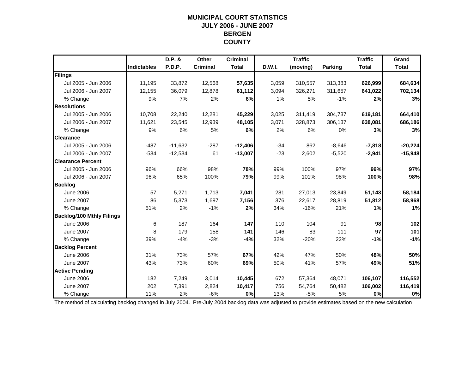#### **MUNICIPAL COURT STATISTICS JULY 2006 - JUNE 2007 BERGEN COUNTY**

|                                  |                    | D.P. &    | <b>Other</b>    | <b>Criminal</b> |        | <b>Traffic</b> |                | <b>Traffic</b> | Grand        |
|----------------------------------|--------------------|-----------|-----------------|-----------------|--------|----------------|----------------|----------------|--------------|
|                                  | <b>Indictables</b> | P.D.P.    | <b>Criminal</b> | <b>Total</b>    | D.W.I. | (moving)       | <b>Parking</b> | <b>Total</b>   | <b>Total</b> |
| Filings                          |                    |           |                 |                 |        |                |                |                |              |
| Jul 2005 - Jun 2006              | 11,195             | 33,872    | 12,568          | 57,635          | 3,059  | 310,557        | 313,383        | 626,999        | 684,634      |
| Jul 2006 - Jun 2007              | 12,155             | 36,079    | 12,878          | 61,112          | 3,094  | 326,271        | 311,657        | 641,022        | 702,134      |
| % Change                         | 9%                 | 7%        | 2%              | 6%              | 1%     | 5%             | $-1%$          | 2%             | 3%           |
| <b>Resolutions</b>               |                    |           |                 |                 |        |                |                |                |              |
| Jul 2005 - Jun 2006              | 10.708             | 22,240    | 12,281          | 45,229          | 3,025  | 311,419        | 304,737        | 619,181        | 664,410      |
| Jul 2006 - Jun 2007              | 11,621             | 23,545    | 12,939          | 48,105          | 3,071  | 328,873        | 306,137        | 638,081        | 686,186      |
| % Change                         | 9%                 | 6%        | 5%              | 6%              | 2%     | 6%             | 0%             | 3%             | 3%           |
| <b>Clearance</b>                 |                    |           |                 |                 |        |                |                |                |              |
| Jul 2005 - Jun 2006              | $-487$             | $-11,632$ | $-287$          | $-12,406$       | $-34$  | 862            | $-8,646$       | $-7,818$       | $-20,224$    |
| Jul 2006 - Jun 2007              | $-534$             | $-12,534$ | 61              | $-13,007$       | $-23$  | 2,602          | $-5,520$       | $-2,941$       | $-15,948$    |
| <b>Clearance Percent</b>         |                    |           |                 |                 |        |                |                |                |              |
| Jul 2005 - Jun 2006              | 96%                | 66%       | 98%             | 78%             | 99%    | 100%           | 97%            | 99%            | 97%          |
| Jul 2006 - Jun 2007              | 96%                | 65%       | 100%            | 79%             | 99%    | 101%           | 98%            | 100%           | 98%          |
| <b>Backlog</b>                   |                    |           |                 |                 |        |                |                |                |              |
| <b>June 2006</b>                 | 57                 | 5,271     | 1,713           | 7,041           | 281    | 27,013         | 23,849         | 51,143         | 58,184       |
| <b>June 2007</b>                 | 86                 | 5,373     | 1,697           | 7,156           | 376    | 22,617         | 28,819         | 51,812         | 58,968       |
| % Change                         | 51%                | 2%        | $-1%$           | 2%              | 34%    | $-16%$         | 21%            | 1%             | 1%           |
| <b>Backlog/100 Mthly Filings</b> |                    |           |                 |                 |        |                |                |                |              |
| <b>June 2006</b>                 | 6                  | 187       | 164             | 147             | 110    | 104            | 91             | 98             | 102          |
| <b>June 2007</b>                 | 8                  | 179       | 158             | $141$           | 146    | 83             | 111            | 97             | 101          |
| % Change                         | 39%                | $-4%$     | $-3%$           | $-4%$           | 32%    | $-20%$         | 22%            | $-1%$          | $-1%$        |
| <b>Backlog Percent</b>           |                    |           |                 |                 |        |                |                |                |              |
| <b>June 2006</b>                 | 31%                | 73%       | 57%             | 67%             | 42%    | 47%            | 50%            | 48%            | 50%          |
| <b>June 2007</b>                 | 43%                | 73%       | 60%             | 69%             | 50%    | 41%            | 57%            | 49%            | 51%          |
| <b>Active Pending</b>            |                    |           |                 |                 |        |                |                |                |              |
| <b>June 2006</b>                 | 182                | 7,249     | 3,014           | 10,445          | 672    | 57,364         | 48,071         | 106,107        | 116,552      |
| <b>June 2007</b>                 | 202                | 7,391     | 2,824           | 10,417          | 756    | 54,764         | 50,482         | 106,002        | 116,419      |
| % Change                         | 11%                | 2%        | $-6%$           | 0%              | 13%    | $-5%$          | 5%             | 0%             | 0%           |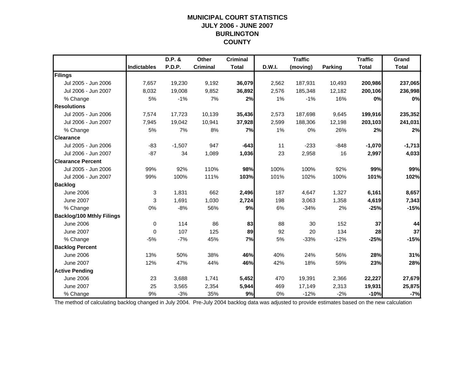## **MUNICIPAL COURT STATISTICSJULY 2006 - JUNE 2007 BURLINGTON COUNTY**

|                                  |                    | D.P. &        | Other           | <b>Criminal</b> |        | <b>Traffic</b> |                | <b>Traffic</b> | Grand        |
|----------------------------------|--------------------|---------------|-----------------|-----------------|--------|----------------|----------------|----------------|--------------|
|                                  | <b>Indictables</b> | <b>P.D.P.</b> | <b>Criminal</b> | <b>Total</b>    | D.W.I. | (moving)       | <b>Parking</b> | <b>Total</b>   | <b>Total</b> |
| Filings                          |                    |               |                 |                 |        |                |                |                |              |
| Jul 2005 - Jun 2006              | 7,657              | 19,230        | 9,192           | 36,079          | 2,562  | 187,931        | 10,493         | 200,986        | 237,065      |
| Jul 2006 - Jun 2007              | 8,032              | 19,008        | 9,852           | 36,892          | 2,576  | 185,348        | 12,182         | 200,106        | 236,998      |
| % Change                         | 5%                 | $-1%$         | 7%              | 2%              | 1%     | $-1%$          | 16%            | 0%             | 0%           |
| <b>Resolutions</b>               |                    |               |                 |                 |        |                |                |                |              |
| Jul 2005 - Jun 2006              | 7,574              | 17,723        | 10,139          | 35,436          | 2,573  | 187,698        | 9,645          | 199,916        | 235,352      |
| Jul 2006 - Jun 2007              | 7,945              | 19,042        | 10,941          | 37,928          | 2,599  | 188,306        | 12,198         | 203,103        | 241,031      |
| % Change                         | 5%                 | 7%            | 8%              | 7%              | 1%     | 0%             | 26%            | 2%             | 2%           |
| <b>Clearance</b>                 |                    |               |                 |                 |        |                |                |                |              |
| Jul 2005 - Jun 2006              | $-83$              | $-1,507$      | 947             | $-643$          | 11     | $-233$         | $-848$         | $-1,070$       | $-1,713$     |
| Jul 2006 - Jun 2007              | $-87$              | 34            | 1,089           | 1,036           | 23     | 2,958          | 16             | 2,997          | 4,033        |
| <b>Clearance Percent</b>         |                    |               |                 |                 |        |                |                |                |              |
| Jul 2005 - Jun 2006              | 99%                | 92%           | 110%            | 98%             | 100%   | 100%           | 92%            | 99%            | 99%          |
| Jul 2006 - Jun 2007              | 99%                | 100%          | 111%            | 103%            | 101%   | 102%           | 100%           | 101%           | 102%         |
| <b>Backlog</b>                   |                    |               |                 |                 |        |                |                |                |              |
| <b>June 2006</b>                 | 3                  | 1,831         | 662             | 2,496           | 187    | 4,647          | 1,327          | 6,161          | 8,657        |
| <b>June 2007</b>                 | 3                  | 1,691         | 1,030           | 2,724           | 198    | 3,063          | 1,358          | 4,619          | 7,343        |
| % Change                         | 0%                 | $-8%$         | 56%             | 9%              | 6%     | $-34%$         | 2%             | $-25%$         | $-15%$       |
| <b>Backlog/100 Mthly Filings</b> |                    |               |                 |                 |        |                |                |                |              |
| <b>June 2006</b>                 | 0                  | 114           | 86              | 83              | 88     | 30             | 152            | 37             | 44           |
| <b>June 2007</b>                 | 0                  | 107           | 125             | 89              | 92     | 20             | 134            | 28             | 37           |
| % Change                         | $-5%$              | $-7%$         | 45%             | 7%              | 5%     | $-33%$         | $-12%$         | $-25%$         | $-15%$       |
| <b>Backlog Percent</b>           |                    |               |                 |                 |        |                |                |                |              |
| <b>June 2006</b>                 | 13%                | 50%           | 38%             | 46%             | 40%    | 24%            | 56%            | 28%            | 31%          |
| <b>June 2007</b>                 | 12%                | 47%           | 44%             | 46%             | 42%    | 18%            | 59%            | 23%            | 28%          |
| <b>Active Pending</b>            |                    |               |                 |                 |        |                |                |                |              |
| <b>June 2006</b>                 | 23                 | 3,688         | 1,741           | 5,452           | 470    | 19,391         | 2,366          | 22,227         | 27,679       |
| <b>June 2007</b>                 | 25                 | 3,565         | 2,354           | 5,944           | 469    | 17,149         | 2,313          | 19,931         | 25,875       |
| % Change                         | 9%                 | $-3%$         | 35%             | 9%              | 0%     | $-12%$         | $-2%$          | $-10%$         | $-7%$        |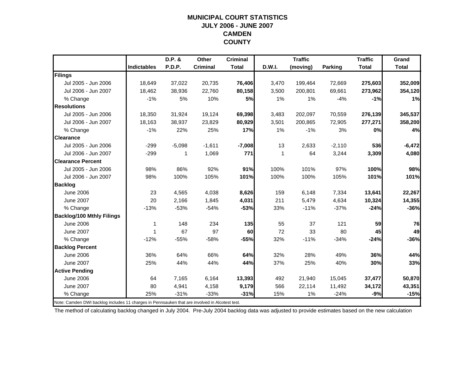### **MUNICIPAL COURT STATISTICSJULY 2006 - JUNE 2007 CAMDEN COUNTY**

|                                                                                                |                    | D.P. &   | Other           | <b>Criminal</b> |        | <b>Traffic</b> |                | <b>Traffic</b> | Grand        |
|------------------------------------------------------------------------------------------------|--------------------|----------|-----------------|-----------------|--------|----------------|----------------|----------------|--------------|
|                                                                                                | <b>Indictables</b> | P.D.P.   | <b>Criminal</b> | <b>Total</b>    | D.W.I. | (moving)       | <b>Parking</b> | <b>Total</b>   | <b>Total</b> |
| Filings                                                                                        |                    |          |                 |                 |        |                |                |                |              |
| Jul 2005 - Jun 2006                                                                            | 18,649             | 37,022   | 20,735          | 76,406          | 3,470  | 199,464        | 72,669         | 275,603        | 352,009      |
| Jul 2006 - Jun 2007                                                                            | 18,462             | 38,936   | 22,760          | 80,158          | 3,500  | 200,801        | 69,661         | 273,962        | 354,120      |
| % Change                                                                                       | $-1%$              | 5%       | 10%             | <b>5%</b>       | 1%     | $1\%$          | $-4%$          | $-1%$          | 1%           |
| <b>Resolutions</b>                                                                             |                    |          |                 |                 |        |                |                |                |              |
| Jul 2005 - Jun 2006                                                                            | 18,350             | 31,924   | 19,124          | 69,398          | 3,483  | 202,097        | 70,559         | 276,139        | 345,537      |
| Jul 2006 - Jun 2007                                                                            | 18,163             | 38,937   | 23,829          | 80,929          | 3,501  | 200,865        | 72,905         | 277,271        | 358,200      |
| % Change                                                                                       | $-1%$              | 22%      | 25%             | 17%             | 1%     | $-1%$          | 3%             | 0%             | 4%           |
| <b>Clearance</b>                                                                               |                    |          |                 |                 |        |                |                |                |              |
| Jul 2005 - Jun 2006                                                                            | $-299$             | $-5,098$ | $-1,611$        | $-7,008$        | 13     | 2,633          | $-2,110$       | 536            | $-6,472$     |
| Jul 2006 - Jun 2007                                                                            | $-299$             | 1        | 1,069           | 771             | 1      | 64             | 3,244          | 3,309          | 4,080        |
| <b>Clearance Percent</b>                                                                       |                    |          |                 |                 |        |                |                |                |              |
| Jul 2005 - Jun 2006                                                                            | 98%                | 86%      | 92%             | 91%             | 100%   | 101%           | 97%            | 100%           | 98%          |
| Jul 2006 - Jun 2007                                                                            | 98%                | 100%     | 105%            | 101%            | 100%   | 100%           | 105%           | 101%           | 101%         |
| <b>Backlog</b>                                                                                 |                    |          |                 |                 |        |                |                |                |              |
| <b>June 2006</b>                                                                               | 23                 | 4,565    | 4,038           | 8,626           | 159    | 6,148          | 7,334          | 13,641         | 22,267       |
| <b>June 2007</b>                                                                               | 20                 | 2.166    | 1,845           | 4,031           | 211    | 5,479          | 4,634          | 10,324         | 14,355       |
| % Change                                                                                       | $-13%$             | $-53%$   | $-54%$          | $-53%$          | 33%    | $-11%$         | $-37%$         | $-24%$         | $-36%$       |
| <b>Backlog/100 Mthly Filings</b>                                                               |                    |          |                 |                 |        |                |                |                |              |
| <b>June 2006</b>                                                                               | 1                  | 148      | 234             | 135             | 55     | 37             | 121            | 59             | 76           |
| <b>June 2007</b>                                                                               | 1                  | 67       | 97              | 60              | 72     | 33             | 80             | 45             | 49           |
| % Change                                                                                       | $-12%$             | $-55%$   | $-58%$          | $-55%$          | 32%    | $-11%$         | $-34%$         | $-24%$         | $-36%$       |
| <b>Backlog Percent</b>                                                                         |                    |          |                 |                 |        |                |                |                |              |
| <b>June 2006</b>                                                                               | 36%                | 64%      | 66%             | 64%             | 32%    | 28%            | 49%            | 36%            | 44%          |
| <b>June 2007</b>                                                                               | 25%                | 44%      | 44%             | 44%             | 37%    | 25%            | 40%            | 30%            | 33%          |
| <b>Active Pending</b>                                                                          |                    |          |                 |                 |        |                |                |                |              |
| <b>June 2006</b>                                                                               | 64                 | 7,165    | 6,164           | 13,393          | 492    | 21,940         | 15,045         | 37,477         | 50,870       |
| <b>June 2007</b>                                                                               | 80                 | 4,941    | 4,158           | 9,179           | 566    | 22,114         | 11,492         | 34,172         | 43,351       |
| % Change                                                                                       | 25%                | $-31%$   | $-33%$          | $-31%$          | 15%    | $1\%$          | $-24%$         | $-9%$          | $-15%$       |
| Note: Camden DWI backlog includes 11 charges in Pennsauken that are involved in Alcotest test. |                    |          |                 |                 |        |                |                |                |              |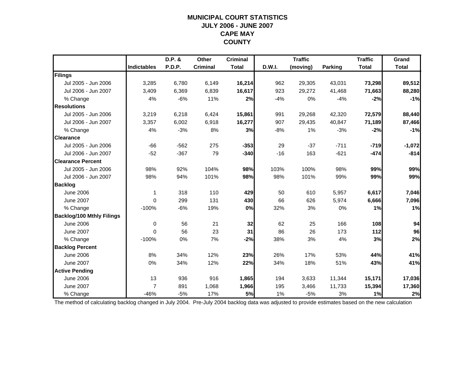## **MUNICIPAL COURT STATISTICSJULY 2006 - JUNE 2007 CAPE MAY COUNTY**

|                                  |                    | D.P. &        | Other           | <b>Criminal</b> |        | <b>Traffic</b> |                | <b>Traffic</b> | Grand        |
|----------------------------------|--------------------|---------------|-----------------|-----------------|--------|----------------|----------------|----------------|--------------|
|                                  | <b>Indictables</b> | <b>P.D.P.</b> | <b>Criminal</b> | <b>Total</b>    | D.W.I. | (moving)       | <b>Parking</b> | <b>Total</b>   | <b>Total</b> |
| Filings                          |                    |               |                 |                 |        |                |                |                |              |
| Jul 2005 - Jun 2006              | 3,285              | 6,780         | 6,149           | 16,214          | 962    | 29,305         | 43,031         | 73,298         | 89,512       |
| Jul 2006 - Jun 2007              | 3,409              | 6,369         | 6,839           | 16,617          | 923    | 29,272         | 41,468         | 71,663         | 88,280       |
| % Change                         | 4%                 | $-6%$         | 11%             | 2%              | $-4%$  | 0%             | $-4%$          | $-2%$          | $-1%$        |
| <b>Resolutions</b>               |                    |               |                 |                 |        |                |                |                |              |
| Jul 2005 - Jun 2006              | 3,219              | 6,218         | 6,424           | 15,861          | 991    | 29,268         | 42,320         | 72,579         | 88,440       |
| Jul 2006 - Jun 2007              | 3,357              | 6,002         | 6,918           | 16,277          | 907    | 29,435         | 40,847         | 71,189         | 87,466       |
| % Change                         | 4%                 | $-3%$         | 8%              | 3%              | $-8%$  | 1%             | $-3%$          | $-2%$          | $-1%$        |
| <b>Clearance</b>                 |                    |               |                 |                 |        |                |                |                |              |
| Jul 2005 - Jun 2006              | $-66$              | $-562$        | 275             | $-353$          | 29     | $-37$          | $-711$         | $-719$         | $-1,072$     |
| Jul 2006 - Jun 2007              | $-52$              | $-367$        | 79              | $-340$          | $-16$  | 163            | $-621$         | $-474$         | $-814$       |
| <b>Clearance Percent</b>         |                    |               |                 |                 |        |                |                |                |              |
| Jul 2005 - Jun 2006              | 98%                | 92%           | 104%            | 98%             | 103%   | 100%           | 98%            | 99%            | 99%          |
| Jul 2006 - Jun 2007              | 98%                | 94%           | 101%            | 98%             | 98%    | 101%           | 99%            | 99%            | 99%          |
| <b>Backlog</b>                   |                    |               |                 |                 |        |                |                |                |              |
| <b>June 2006</b>                 | $\mathbf 1$        | 318           | 110             | 429             | 50     | 610            | 5,957          | 6,617          | 7,046        |
| <b>June 2007</b>                 | $\Omega$           | 299           | 131             | 430             | 66     | 626            | 5,974          | 6,666          | 7,096        |
| % Change                         | $-100%$            | $-6%$         | 19%             | 0%              | 32%    | 3%             | 0%             | 1%             | 1%           |
| <b>Backlog/100 Mthly Filings</b> |                    |               |                 |                 |        |                |                |                |              |
| <b>June 2006</b>                 | 0                  | 56            | 21              | 32              | 62     | 25             | 166            | 108            | 94           |
| <b>June 2007</b>                 | $\Omega$           | 56            | 23              | 31              | 86     | 26             | 173            | 112            | 96           |
| % Change                         | $-100%$            | 0%            | 7%              | $-2%$           | 38%    | 3%             | 4%             | 3%             | 2%           |
| <b>Backlog Percent</b>           |                    |               |                 |                 |        |                |                |                |              |
| <b>June 2006</b>                 | 8%                 | 34%           | 12%             | 23%             | 26%    | 17%            | 53%            | 44%            | 41%          |
| <b>June 2007</b>                 | 0%                 | 34%           | 12%             | 22%             | 34%    | 18%            | 51%            | 43%            | 41%          |
| <b>Active Pending</b>            |                    |               |                 |                 |        |                |                |                |              |
| <b>June 2006</b>                 | 13                 | 936           | 916             | 1,865           | 194    | 3,633          | 11,344         | 15,171         | 17,036       |
| <b>June 2007</b>                 | $\overline{7}$     | 891           | 1,068           | 1,966           | 195    | 3,466          | 11,733         | 15,394         | 17,360       |
| % Change                         | $-46%$             | $-5%$         | 17%             | 5%              | 1%     | $-5%$          | 3%             | 1%             | 2%           |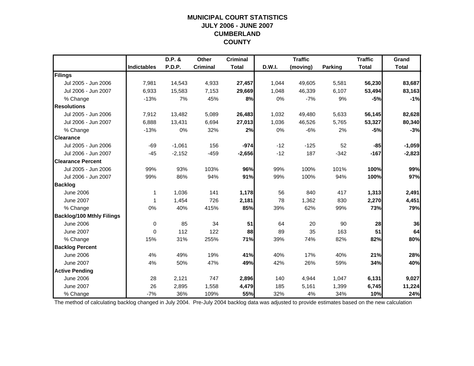## **MUNICIPAL COURT STATISTICSJULY 2006 - JUNE 2007 CUMBERLAND COUNTY**

|                                  |                    | D.P. &   | Other           | <b>Criminal</b> |        | <b>Traffic</b> |                | <b>Traffic</b> | Grand        |
|----------------------------------|--------------------|----------|-----------------|-----------------|--------|----------------|----------------|----------------|--------------|
|                                  | <b>Indictables</b> | P.D.P.   | <b>Criminal</b> | <b>Total</b>    | D.W.I. | (moving)       | <b>Parking</b> | <b>Total</b>   | <b>Total</b> |
| Filings                          |                    |          |                 |                 |        |                |                |                |              |
| Jul 2005 - Jun 2006              | 7,981              | 14,543   | 4,933           | 27,457          | 1,044  | 49,605         | 5,581          | 56,230         | 83,687       |
| Jul 2006 - Jun 2007              | 6,933              | 15,583   | 7,153           | 29,669          | 1,048  | 46,339         | 6,107          | 53,494         | 83,163       |
| % Change                         | $-13%$             | 7%       | 45%             | 8%              | 0%     | $-7%$          | 9%             | $-5%$          | $-1%$        |
| <b>Resolutions</b>               |                    |          |                 |                 |        |                |                |                |              |
| Jul 2005 - Jun 2006              | 7,912              | 13,482   | 5,089           | 26,483          | 1,032  | 49,480         | 5,633          | 56,145         | 82,628       |
| Jul 2006 - Jun 2007              | 6,888              | 13,431   | 6,694           | 27,013          | 1,036  | 46,526         | 5,765          | 53,327         | 80,340       |
| % Change                         | $-13%$             | 0%       | 32%             | 2%              | 0%     | $-6%$          | 2%             | $-5%$          | $-3%$        |
| <b>Clearance</b>                 |                    |          |                 |                 |        |                |                |                |              |
| Jul 2005 - Jun 2006              | $-69$              | $-1,061$ | 156             | $-974$          | $-12$  | $-125$         | 52             | $-85$          | $-1,059$     |
| Jul 2006 - Jun 2007              | $-45$              | $-2,152$ | $-459$          | $-2,656$        | $-12$  | 187            | $-342$         | $-167$         | $-2,823$     |
| <b>Clearance Percent</b>         |                    |          |                 |                 |        |                |                |                |              |
| Jul 2005 - Jun 2006              | 99%                | 93%      | 103%            | 96%             | 99%    | 100%           | 101%           | 100%           | 99%          |
| Jul 2006 - Jun 2007              | 99%                | 86%      | 94%             | 91%             | 99%    | 100%           | 94%            | 100%           | 97%          |
| <b>Backlog</b>                   |                    |          |                 |                 |        |                |                |                |              |
| <b>June 2006</b>                 | $\mathbf 1$        | 1,036    | 141             | 1,178           | 56     | 840            | 417            | 1,313          | 2,491        |
| <b>June 2007</b>                 | 1                  | 1,454    | 726             | 2,181           | 78     | 1,362          | 830            | 2,270          | 4,451        |
| % Change                         | 0%                 | 40%      | 415%            | 85%             | 39%    | 62%            | 99%            | 73%            | 79%          |
| <b>Backlog/100 Mthly Filings</b> |                    |          |                 |                 |        |                |                |                |              |
| <b>June 2006</b>                 | 0                  | 85       | 34              | 51              | 64     | 20             | 90             | 28             | 36           |
| <b>June 2007</b>                 | $\mathbf 0$        | 112      | 122             | 88              | 89     | 35             | 163            | 51             | 64           |
| % Change                         | 15%                | 31%      | 255%            | 71%             | 39%    | 74%            | 82%            | 82%            | 80%          |
| <b>Backlog Percent</b>           |                    |          |                 |                 |        |                |                |                |              |
| <b>June 2006</b>                 | 4%                 | 49%      | 19%             | 41%             | 40%    | 17%            | 40%            | 21%            | 28%          |
| <b>June 2007</b>                 | 4%                 | 50%      | 47%             | 49%             | 42%    | 26%            | 59%            | 34%            | 40%          |
| <b>Active Pending</b>            |                    |          |                 |                 |        |                |                |                |              |
| <b>June 2006</b>                 | 28                 | 2,121    | 747             | 2,896           | 140    | 4,944          | 1,047          | 6,131          | 9,027        |
| <b>June 2007</b>                 | 26                 | 2,895    | 1,558           | 4,479           | 185    | 5,161          | 1,399          | 6,745          | 11,224       |
| % Change                         | $-7%$              | 36%      | 109%            | 55%             | 32%    | 4%             | 34%            | 10%            | 24%          |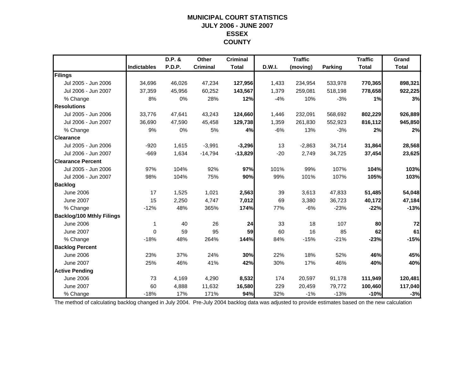#### **MUNICIPAL COURT STATISTICS JULY 2006 - JUNE 2007 ESSEX COUNTY**

|                                  |                    | D.P. & | Other           | <b>Criminal</b> |        | <b>Traffic</b> |                | <b>Traffic</b> | Grand        |
|----------------------------------|--------------------|--------|-----------------|-----------------|--------|----------------|----------------|----------------|--------------|
|                                  | <b>Indictables</b> | P.D.P. | <b>Criminal</b> | <b>Total</b>    | D.W.I. | (moving)       | <b>Parking</b> | <b>Total</b>   | <b>Total</b> |
| Filings                          |                    |        |                 |                 |        |                |                |                |              |
| Jul 2005 - Jun 2006              | 34,696             | 46,026 | 47,234          | 127,956         | 1,433  | 234,954        | 533,978        | 770,365        | 898,321      |
| Jul 2006 - Jun 2007              | 37,359             | 45,956 | 60,252          | 143,567         | 1,379  | 259,081        | 518,198        | 778,658        | 922,225      |
| % Change                         | 8%                 | 0%     | 28%             | 12%             | $-4%$  | 10%            | $-3%$          | 1%             | 3%           |
| <b>Resolutions</b>               |                    |        |                 |                 |        |                |                |                |              |
| Jul 2005 - Jun 2006              | 33,776             | 47,641 | 43,243          | 124,660         | 1,446  | 232,091        | 568,692        | 802,229        | 926,889      |
| Jul 2006 - Jun 2007              | 36.690             | 47,590 | 45,458          | 129,738         | 1,359  | 261,830        | 552,923        | 816,112        | 945,850      |
| % Change                         | 9%                 | 0%     | 5%              | 4%              | $-6%$  | 13%            | $-3%$          | 2%             | 2%           |
| <b>Clearance</b>                 |                    |        |                 |                 |        |                |                |                |              |
| Jul 2005 - Jun 2006              | $-920$             | 1,615  | $-3,991$        | $-3,296$        | 13     | $-2,863$       | 34,714         | 31,864         | 28,568       |
| Jul 2006 - Jun 2007              | $-669$             | 1,634  | $-14,794$       | $-13,829$       | $-20$  | 2,749          | 34,725         | 37,454         | 23,625       |
| <b>Clearance Percent</b>         |                    |        |                 |                 |        |                |                |                |              |
| Jul 2005 - Jun 2006              | 97%                | 104%   | 92%             | 97%             | 101%   | 99%            | 107%           | 104%           | 103%         |
| Jul 2006 - Jun 2007              | 98%                | 104%   | 75%             | 90%             | 99%    | 101%           | 107%           | 105%           | 103%         |
| <b>Backlog</b>                   |                    |        |                 |                 |        |                |                |                |              |
| <b>June 2006</b>                 | 17                 | 1,525  | 1,021           | 2,563           | 39     | 3,613          | 47,833         | 51,485         | 54,048       |
| <b>June 2007</b>                 | 15                 | 2,250  | 4,747           | 7,012           | 69     | 3,380          | 36,723         | 40,172         | 47,184       |
| % Change                         | $-12%$             | 48%    | 365%            | 174%            | 77%    | $-6%$          | $-23%$         | $-22%$         | $-13%$       |
| <b>Backlog/100 Mthly Filings</b> |                    |        |                 |                 |        |                |                |                |              |
| <b>June 2006</b>                 | 1                  | 40     | 26              | 24              | 33     | 18             | 107            | 80             | 72           |
| <b>June 2007</b>                 | $\Omega$           | 59     | 95              | 59              | 60     | 16             | 85             | 62             | 61           |
| % Change                         | $-18%$             | 48%    | 264%            | 144%            | 84%    | $-15%$         | $-21%$         | $-23%$         | $-15%$       |
| <b>Backlog Percent</b>           |                    |        |                 |                 |        |                |                |                |              |
| <b>June 2006</b>                 | 23%                | 37%    | 24%             | 30%             | 22%    | 18%            | 52%            | 46%            | 45%          |
| <b>June 2007</b>                 | 25%                | 46%    | 41%             | 42%             | 30%    | 17%            | 46%            | 40%            | 40%          |
| <b>Active Pending</b>            |                    |        |                 |                 |        |                |                |                |              |
| <b>June 2006</b>                 | 73                 | 4,169  | 4,290           | 8,532           | 174    | 20,597         | 91,178         | 111,949        | 120,481      |
| <b>June 2007</b>                 | 60                 | 4,888  | 11,632          | 16,580          | 229    | 20,459         | 79,772         | 100,460        | 117,040      |
| % Change                         | $-18%$             | 17%    | 171%            | 94%             | 32%    | $-1%$          | $-13%$         | $-10%$         | $-3%$        |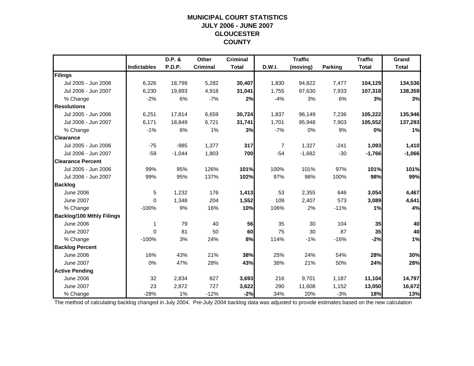## **MUNICIPAL COURT STATISTICSJULY 2006 - JUNE 2007 GLOUCESTER COUNTY**

|                                  |                    | D.P. &   | Other           | <b>Criminal</b> |                | <b>Traffic</b> |         | <b>Traffic</b> | Grand        |
|----------------------------------|--------------------|----------|-----------------|-----------------|----------------|----------------|---------|----------------|--------------|
|                                  | <b>Indictables</b> | P.D.P.   | <b>Criminal</b> | <b>Total</b>    | D.W.I.         | (moving)       | Parking | <b>Total</b>   | <b>Total</b> |
| Filings                          |                    |          |                 |                 |                |                |         |                |              |
| Jul 2005 - Jun 2006              | 6,326              | 18,799   | 5,282           | 30,407          | 1,830          | 94,822         | 7,477   | 104,129        | 134,536      |
| Jul 2006 - Jun 2007              | 6,230              | 19,893   | 4,918           | 31,041          | 1,755          | 97,630         | 7,933   | 107,318        | 138,359      |
| % Change                         | $-2%$              | 6%       | $-7%$           | 2%              | $-4%$          | 3%             | 6%      | 3%             | 3%           |
| <b>Resolutions</b>               |                    |          |                 |                 |                |                |         |                |              |
| Jul 2005 - Jun 2006              | 6,251              | 17,814   | 6,659           | 30,724          | 1,837          | 96,149         | 7,236   | 105,222        | 135,946      |
| Jul 2006 - Jun 2007              | 6,171              | 18,849   | 6,721           | 31,741          | 1,701          | 95,948         | 7,903   | 105,552        | 137,293      |
| % Change                         | $-1%$              | 6%       | 1%              | 3%              | $-7%$          | 0%             | 9%      | 0%             | 1%           |
| <b>Clearance</b>                 |                    |          |                 |                 |                |                |         |                |              |
| Jul 2005 - Jun 2006              | $-75$              | $-985$   | 1,377           | 317             | $\overline{7}$ | 1,327          | $-241$  | 1,093          | 1,410        |
| Jul 2006 - Jun 2007              | $-59$              | $-1,044$ | 1,803           | 700             | $-54$          | $-1,682$       | $-30$   | $-1,766$       | $-1,066$     |
| <b>Clearance Percent</b>         |                    |          |                 |                 |                |                |         |                |              |
| Jul 2005 - Jun 2006              | 99%                | 95%      | 126%            | 101%            | 100%           | 101%           | 97%     | 101%           | 101%         |
| Jul 2006 - Jun 2007              | 99%                | 95%      | 137%            | 102%            | 97%            | 98%            | 100%    | 98%            | 99%          |
| <b>Backlog</b>                   |                    |          |                 |                 |                |                |         |                |              |
| June 2006                        | 5                  | 1,232    | 176             | 1,413           | 53             | 2,355          | 646     | 3,054          | 4,467        |
| <b>June 2007</b>                 | 0                  | 1,348    | 204             | 1,552           | 109            | 2,407          | 573     | 3,089          | 4,641        |
| % Change                         | $-100%$            | 9%       | 16%             | 10%             | 106%           | 2%             | $-11%$  | 1%             | 4%           |
| <b>Backlog/100 Mthly Filings</b> |                    |          |                 |                 |                |                |         |                |              |
| <b>June 2006</b>                 | 1                  | 79       | 40              | 56              | 35             | 30             | 104     | 35             | 40           |
| <b>June 2007</b>                 | $\Omega$           | 81       | 50              | 60              | 75             | 30             | 87      | 35             | 40           |
| % Change                         | $-100%$            | 3%       | 24%             | 8%              | 114%           | $-1%$          | $-16%$  | $-2%$          | 1%           |
| <b>Backlog Percent</b>           |                    |          |                 |                 |                |                |         |                |              |
| <b>June 2006</b>                 | 16%                | 43%      | 21%             | 38%             | 25%            | 24%            | 54%     | 28%            | 30%          |
| <b>June 2007</b>                 | 0%                 | 47%      | 28%             | 43%             | 38%            | 21%            | 50%     | 24%            | 28%          |
| <b>Active Pending</b>            |                    |          |                 |                 |                |                |         |                |              |
| <b>June 2006</b>                 | 32                 | 2,834    | 827             | 3,693           | 216            | 9,701          | 1,187   | 11,104         | 14,797       |
| <b>June 2007</b>                 | 23                 | 2,872    | 727             | 3,622           | 290            | 11,608         | 1,152   | 13,050         | 16,672       |
| % Change                         | $-28%$             | 1%       | $-12%$          | $-2%$           | 34%            | 20%            | $-3%$   | 18%            | 13%          |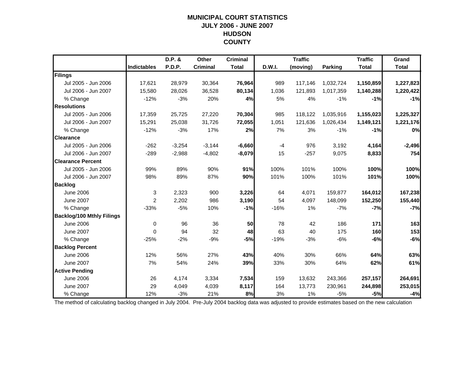#### **MUNICIPAL COURT STATISTICS JULY 2006 - JUNE 2007 HUDSON COUNTY**

|                                  |                    | D.P. &   | Other           | <b>Criminal</b> |               | <b>Traffic</b> |                | <b>Traffic</b> | Grand        |
|----------------------------------|--------------------|----------|-----------------|-----------------|---------------|----------------|----------------|----------------|--------------|
|                                  | <b>Indictables</b> | P.D.P.   | <b>Criminal</b> | <b>Total</b>    | <b>D.W.I.</b> | (moving)       | <b>Parking</b> | <b>Total</b>   | <b>Total</b> |
| Filings                          |                    |          |                 |                 |               |                |                |                |              |
| Jul 2005 - Jun 2006              | 17,621             | 28,979   | 30,364          | 76,964          | 989           | 117,146        | 1,032,724      | 1,150,859      | 1,227,823    |
| Jul 2006 - Jun 2007              | 15,580             | 28,026   | 36,528          | 80,134          | 1,036         | 121,893        | 1,017,359      | 1,140,288      | 1,220,422    |
| % Change                         | $-12%$             | $-3%$    | 20%             | 4%              | 5%            | 4%             | $-1%$          | $-1%$          | $-1%$        |
| <b>Resolutions</b>               |                    |          |                 |                 |               |                |                |                |              |
| Jul 2005 - Jun 2006              | 17,359             | 25,725   | 27,220          | 70,304          | 985           | 118,122        | 1,035,916      | 1,155,023      | 1,225,327    |
| Jul 2006 - Jun 2007              | 15,291             | 25,038   | 31,726          | 72,055          | 1,051         | 121,636        | 1,026,434      | 1,149,121      | 1,221,176    |
| % Change                         | $-12%$             | $-3%$    | 17%             | 2%              | 7%            | 3%             | $-1%$          | $-1%$          | 0%           |
| <b>Clearance</b>                 |                    |          |                 |                 |               |                |                |                |              |
| Jul 2005 - Jun 2006              | $-262$             | $-3,254$ | $-3,144$        | $-6,660$        | $-4$          | 976            | 3,192          | 4,164          | $-2,496$     |
| Jul 2006 - Jun 2007              | $-289$             | $-2,988$ | $-4,802$        | $-8,079$        | 15            | $-257$         | 9,075          | 8,833          | 754          |
| <b>Clearance Percent</b>         |                    |          |                 |                 |               |                |                |                |              |
| Jul 2005 - Jun 2006              | 99%                | 89%      | 90%             | 91%             | 100%          | 101%           | 100%           | 100%           | 100%         |
| Jul 2006 - Jun 2007              | 98%                | 89%      | 87%             | 90%             | 101%          | 100%           | 101%           | 101%           | 100%         |
| <b>Backlog</b>                   |                    |          |                 |                 |               |                |                |                |              |
| <b>June 2006</b>                 | 3                  | 2,323    | 900             | 3,226           | 64            | 4,071          | 159,877        | 164,012        | 167,238      |
| <b>June 2007</b>                 | 2                  | 2,202    | 986             | 3,190           | 54            | 4,097          | 148,099        | 152,250        | 155,440      |
| % Change                         | $-33%$             | $-5%$    | 10%             | $-1%$           | $-16%$        | 1%             | $-7%$          | $-7%$          | $-7%$        |
| <b>Backlog/100 Mthly Filings</b> |                    |          |                 |                 |               |                |                |                |              |
| <b>June 2006</b>                 | $\mathbf 0$        | 96       | 36              | 50              | 78            | 42             | 186            | 171            | 163          |
| <b>June 2007</b>                 | $\Omega$           | 94       | 32              | 48              | 63            | 40             | 175            | 160            | 153          |
| % Change                         | $-25%$             | $-2%$    | $-9%$           | $-5%$           | $-19%$        | $-3%$          | $-6%$          | $-6%$          | $-6%$        |
| <b>Backlog Percent</b>           |                    |          |                 |                 |               |                |                |                |              |
| <b>June 2006</b>                 | 12%                | 56%      | 27%             | 43%             | 40%           | 30%            | 66%            | 64%            | 63%          |
| <b>June 2007</b>                 | 7%                 | 54%      | 24%             | 39%             | 33%           | 30%            | 64%            | 62%            | 61%          |
| <b>Active Pending</b>            |                    |          |                 |                 |               |                |                |                |              |
| <b>June 2006</b>                 | 26                 | 4,174    | 3,334           | 7,534           | 159           | 13,632         | 243,366        | 257,157        | 264,691      |
| <b>June 2007</b>                 | 29                 | 4,049    | 4,039           | 8,117           | 164           | 13,773         | 230,961        | 244,898        | 253,015      |
| % Change                         | 12%                | $-3%$    | 21%             | 8%              | 3%            | 1%             | $-5%$          | $-5%$          | $-4%$        |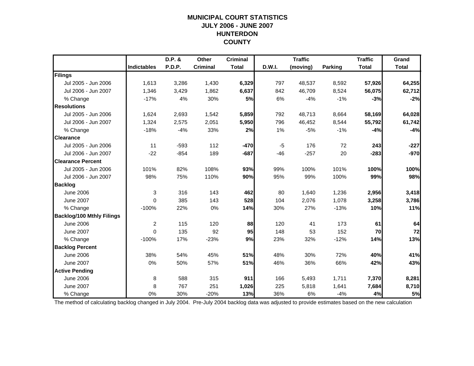## **MUNICIPAL COURT STATISTICSJULY 2006 - JUNE 2007 HUNTERDON COUNTY**

|                                  |                    | D.P. & | Other           | <b>Criminal</b> |        | <b>Traffic</b> |                | <b>Traffic</b> | Grand        |
|----------------------------------|--------------------|--------|-----------------|-----------------|--------|----------------|----------------|----------------|--------------|
|                                  | <b>Indictables</b> | P.D.P. | <b>Criminal</b> | <b>Total</b>    | D.W.I. | (moving)       | <b>Parking</b> | <b>Total</b>   | <b>Total</b> |
| Filings                          |                    |        |                 |                 |        |                |                |                |              |
| Jul 2005 - Jun 2006              | 1,613              | 3,286  | 1,430           | 6,329           | 797    | 48,537         | 8,592          | 57,926         | 64,255       |
| Jul 2006 - Jun 2007              | 1,346              | 3,429  | 1,862           | 6,637           | 842    | 46,709         | 8,524          | 56,075         | 62,712       |
| % Change                         | $-17%$             | 4%     | 30%             | 5%              | 6%     | $-4%$          | $-1%$          | $-3%$          | $-2%$        |
| <b>Resolutions</b>               |                    |        |                 |                 |        |                |                |                |              |
| Jul 2005 - Jun 2006              | 1,624              | 2,693  | 1,542           | 5,859           | 792    | 48,713         | 8,664          | 58,169         | 64,028       |
| Jul 2006 - Jun 2007              | 1,324              | 2,575  | 2,051           | 5,950           | 796    | 46,452         | 8,544          | 55,792         | 61,742       |
| % Change                         | $-18%$             | $-4%$  | 33%             | 2%              | 1%     | $-5%$          | $-1%$          | $-4%$          | $-4%$        |
| <b>Clearance</b>                 |                    |        |                 |                 |        |                |                |                |              |
| Jul 2005 - Jun 2006              | 11                 | $-593$ | 112             | $-470$          | $-5$   | 176            | 72             | 243            | $-227$       |
| Jul 2006 - Jun 2007              | $-22$              | $-854$ | 189             | $-687$          | $-46$  | $-257$         | 20             | $-283$         | $-970$       |
| <b>Clearance Percent</b>         |                    |        |                 |                 |        |                |                |                |              |
| Jul 2005 - Jun 2006              | 101%               | 82%    | 108%            | 93%             | 99%    | 100%           | 101%           | 100%           | 100%         |
| Jul 2006 - Jun 2007              | 98%                | 75%    | 110%            | 90%             | 95%    | 99%            | 100%           | 99%            | 98%          |
| <b>Backlog</b>                   |                    |        |                 |                 |        |                |                |                |              |
| <b>June 2006</b>                 | 3                  | 316    | 143             | 462             | 80     | 1,640          | 1,236          | 2,956          | 3,418        |
| <b>June 2007</b>                 | $\Omega$           | 385    | 143             | 528             | 104    | 2,076          | 1,078          | 3,258          | 3,786        |
| % Change                         | $-100%$            | 22%    | 0%              | 14%             | 30%    | 27%            | $-13%$         | 10%            | 11%          |
| <b>Backlog/100 Mthly Filings</b> |                    |        |                 |                 |        |                |                |                |              |
| <b>June 2006</b>                 | $\overline{c}$     | 115    | 120             | 88              | 120    | 41             | 173            | 61             | 64           |
| <b>June 2007</b>                 | $\Omega$           | 135    | 92              | 95              | 148    | 53             | 152            | 70             | 72           |
| % Change                         | $-100%$            | 17%    | $-23%$          | 9%              | 23%    | 32%            | $-12%$         | 14%            | 13%          |
| <b>Backlog Percent</b>           |                    |        |                 |                 |        |                |                |                |              |
| <b>June 2006</b>                 | 38%                | 54%    | 45%             | 51%             | 48%    | 30%            | 72%            | 40%            | 41%          |
| <b>June 2007</b>                 | 0%                 | 50%    | 57%             | 51%             | 46%    | 36%            | 66%            | 42%            | 43%          |
| <b>Active Pending</b>            |                    |        |                 |                 |        |                |                |                |              |
| <b>June 2006</b>                 | 8                  | 588    | 315             | 911             | 166    | 5,493          | 1,711          | 7,370          | 8,281        |
| <b>June 2007</b>                 | 8                  | 767    | 251             | 1,026           | 225    | 5,818          | 1,641          | 7,684          | 8,710        |
| % Change                         | 0%                 | 30%    | $-20%$          | 13%             | 36%    | 6%             | $-4%$          | 4%             | 5%           |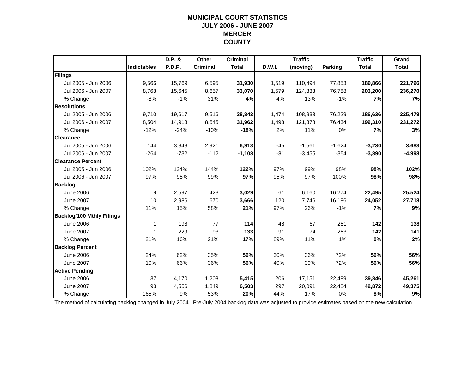#### **MUNICIPAL COURT STATISTICS JULY 2006 - JUNE 2007 MERCER COUNTY**

|                                  |                    | D.P. &        | Other           | <b>Criminal</b> |        | <b>Traffic</b> |                | <b>Traffic</b> | Grand        |
|----------------------------------|--------------------|---------------|-----------------|-----------------|--------|----------------|----------------|----------------|--------------|
|                                  | <b>Indictables</b> | <b>P.D.P.</b> | <b>Criminal</b> | <b>Total</b>    | D.W.I. | (moving)       | <b>Parking</b> | <b>Total</b>   | <b>Total</b> |
| Filings                          |                    |               |                 |                 |        |                |                |                |              |
| Jul 2005 - Jun 2006              | 9,566              | 15,769        | 6,595           | 31,930          | 1,519  | 110,494        | 77,853         | 189,866        | 221,796      |
| Jul 2006 - Jun 2007              | 8,768              | 15,645        | 8,657           | 33,070          | 1,579  | 124,833        | 76,788         | 203,200        | 236,270      |
| % Change                         | $-8%$              | $-1%$         | 31%             | 4%              | 4%     | 13%            | $-1%$          | 7%             | 7%           |
| <b>Resolutions</b>               |                    |               |                 |                 |        |                |                |                |              |
| Jul 2005 - Jun 2006              | 9,710              | 19,617        | 9,516           | 38,843          | 1,474  | 108,933        | 76,229         | 186,636        | 225,479      |
| Jul 2006 - Jun 2007              | 8,504              | 14,913        | 8,545           | 31,962          | 1,498  | 121,378        | 76,434         | 199,310        | 231,272      |
| % Change                         | $-12%$             | $-24%$        | $-10%$          | $-18%$          | 2%     | 11%            | 0%             | 7%             | 3%           |
| <b>Clearance</b>                 |                    |               |                 |                 |        |                |                |                |              |
| Jul 2005 - Jun 2006              | 144                | 3,848         | 2,921           | 6,913           | -45    | $-1,561$       | $-1,624$       | $-3,230$       | 3,683        |
| Jul 2006 - Jun 2007              | $-264$             | $-732$        | $-112$          | $-1,108$        | $-81$  | $-3,455$       | $-354$         | $-3,890$       | $-4,998$     |
| <b>Clearance Percent</b>         |                    |               |                 |                 |        |                |                |                |              |
| Jul 2005 - Jun 2006              | 102%               | 124%          | 144%            | 122%            | 97%    | 99%            | 98%            | 98%            | 102%         |
| Jul 2006 - Jun 2007              | 97%                | 95%           | 99%             | 97%             | 95%    | 97%            | 100%           | 98%            | 98%          |
| <b>Backlog</b>                   |                    |               |                 |                 |        |                |                |                |              |
| <b>June 2006</b>                 | 9                  | 2,597         | 423             | 3,029           | 61     | 6,160          | 16,274         | 22,495         | 25,524       |
| <b>June 2007</b>                 | 10                 | 2,986         | 670             | 3,666           | 120    | 7.746          | 16,186         | 24,052         | 27,718       |
| % Change                         | 11%                | 15%           | 58%             | 21%             | 97%    | 26%            | $-1%$          | 7%             | 9%           |
| <b>Backlog/100 Mthly Filings</b> |                    |               |                 |                 |        |                |                |                |              |
| <b>June 2006</b>                 | 1                  | 198           | 77              | 114             | 48     | 67             | 251            | 142            | 138          |
| <b>June 2007</b>                 | -1                 | 229           | 93              | 133             | 91     | 74             | 253            | 142            | 141          |
| % Change                         | 21%                | 16%           | 21%             | 17%             | 89%    | 11%            | 1%             | 0%             | 2%           |
| <b>Backlog Percent</b>           |                    |               |                 |                 |        |                |                |                |              |
| <b>June 2006</b>                 | 24%                | 62%           | 35%             | 56%             | 30%    | 36%            | 72%            | 56%            | 56%          |
| <b>June 2007</b>                 | 10%                | 66%           | 36%             | 56%             | 40%    | 39%            | 72%            | 56%            | 56%          |
| <b>Active Pending</b>            |                    |               |                 |                 |        |                |                |                |              |
| <b>June 2006</b>                 | 37                 | 4,170         | 1,208           | 5,415           | 206    | 17,151         | 22,489         | 39,846         | 45,261       |
| <b>June 2007</b>                 | 98                 | 4,556         | 1,849           | 6,503           | 297    | 20,091         | 22,484         | 42,872         | 49,375       |
| % Change                         | 165%               | 9%            | 53%             | 20%             | 44%    | 17%            | 0%             | 8%             | 9%           |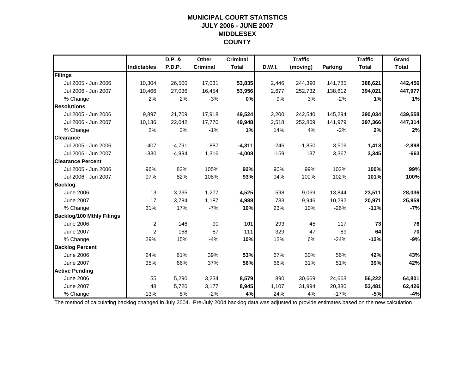#### **MUNICIPAL COURT STATISTICS JULY 2006 - JUNE 2007 MIDDLESEX COUNTY**

|                                  |                    | D.P. &   | Other           | <b>Criminal</b> |        | <b>Traffic</b> |                | <b>Traffic</b> | Grand        |
|----------------------------------|--------------------|----------|-----------------|-----------------|--------|----------------|----------------|----------------|--------------|
|                                  | <b>Indictables</b> | P.D.P.   | <b>Criminal</b> | <b>Total</b>    | D.W.I. | (moving)       | <b>Parking</b> | <b>Total</b>   | <b>Total</b> |
| Filings                          |                    |          |                 |                 |        |                |                |                |              |
| Jul 2005 - Jun 2006              | 10,304             | 26,500   | 17,031          | 53,835          | 2,446  | 244,390        | 141,785        | 388,621        | 442,456      |
| Jul 2006 - Jun 2007              | 10,466             | 27,036   | 16,454          | 53,956          | 2,677  | 252,732        | 138,612        | 394,021        | 447,977      |
| % Change                         | 2%                 | 2%       | $-3%$           | 0%              | 9%     | 3%             | $-2%$          | 1%             | 1%           |
| <b>Resolutions</b>               |                    |          |                 |                 |        |                |                |                |              |
| Jul 2005 - Jun 2006              | 9,897              | 21,709   | 17,918          | 49,524          | 2,200  | 242,540        | 145,294        | 390,034        | 439,558      |
| Jul 2006 - Jun 2007              | 10.136             | 22,042   | 17,770          | 49,948          | 2,518  | 252,869        | 141,979        | 397,366        | 447,314      |
| % Change                         | 2%                 | 2%       | $-1%$           | 1%              | 14%    | 4%             | $-2%$          | 2%             | 2%           |
| <b>Clearance</b>                 |                    |          |                 |                 |        |                |                |                |              |
| Jul 2005 - Jun 2006              | $-407$             | $-4,791$ | 887             | $-4,311$        | $-246$ | $-1,850$       | 3,509          | 1,413          | $-2,898$     |
| Jul 2006 - Jun 2007              | $-330$             | $-4,994$ | 1,316           | $-4,008$        | $-159$ | 137            | 3,367          | 3,345          | $-663$       |
| <b>Clearance Percent</b>         |                    |          |                 |                 |        |                |                |                |              |
| Jul 2005 - Jun 2006              | 96%                | 82%      | 105%            | 92%             | 90%    | 99%            | 102%           | 100%           | 99%          |
| Jul 2006 - Jun 2007              | 97%                | 82%      | 108%            | 93%             | 94%    | 100%           | 102%           | 101%           | 100%         |
| <b>Backlog</b>                   |                    |          |                 |                 |        |                |                |                |              |
| <b>June 2006</b>                 | 13                 | 3,235    | 1,277           | 4,525           | 598    | 9,069          | 13,844         | 23,511         | 28,036       |
| <b>June 2007</b>                 | 17                 | 3,784    | 1,187           | 4,988           | 733    | 9,946          | 10,292         | 20,971         | 25,959       |
| % Change                         | 31%                | 17%      | $-7%$           | 10%             | 23%    | 10%            | $-26%$         | $-11%$         | $-7%$        |
| <b>Backlog/100 Mthly Filings</b> |                    |          |                 |                 |        |                |                |                |              |
| <b>June 2006</b>                 | $\overline{c}$     | 146      | 90              | 101             | 293    | 45             | 117            | 73             | 76           |
| <b>June 2007</b>                 | $\overline{c}$     | 168      | 87              | 111             | 329    | 47             | 89             | 64             | 70           |
| % Change                         | 29%                | 15%      | $-4%$           | 10%             | 12%    | 6%             | $-24%$         | $-12%$         | $-9%$        |
| <b>Backlog Percent</b>           |                    |          |                 |                 |        |                |                |                |              |
| <b>June 2006</b>                 | 24%                | 61%      | 39%             | 53%             | 67%    | 30%            | 56%            | 42%            | 43%          |
| <b>June 2007</b>                 | 35%                | 66%      | 37%             | 56%             | 66%    | 31%            | 51%            | 39%            | 42%          |
| <b>Active Pending</b>            |                    |          |                 |                 |        |                |                |                |              |
| <b>June 2006</b>                 | 55                 | 5,290    | 3,234           | 8,579           | 890    | 30,669         | 24,663         | 56,222         | 64,801       |
| <b>June 2007</b>                 | 48                 | 5,720    | 3,177           | 8,945           | 1,107  | 31,994         | 20,380         | 53,481         | 62,426       |
| % Change                         | $-13%$             | 8%       | $-2%$           | 4%              | 24%    | 4%             | $-17%$         | $-5%$          | $-4%$        |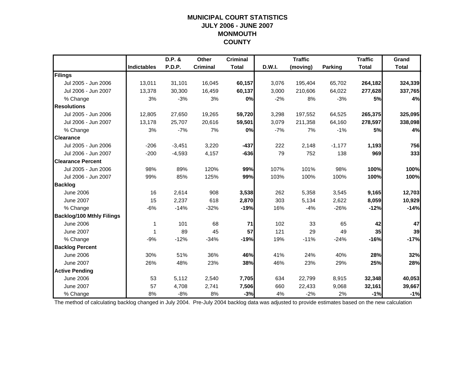## **MUNICIPAL COURT STATISTICSJULY 2006 - JUNE 2007 MONMOUTH COUNTY**

|                                  |                    | D.P. &   | Other           | <b>Criminal</b> |        | <b>Traffic</b> |                | <b>Traffic</b> | Grand        |
|----------------------------------|--------------------|----------|-----------------|-----------------|--------|----------------|----------------|----------------|--------------|
|                                  | <b>Indictables</b> | P.D.P.   | <b>Criminal</b> | <b>Total</b>    | D.W.I. | (moving)       | <b>Parking</b> | <b>Total</b>   | <b>Total</b> |
| Filings                          |                    |          |                 |                 |        |                |                |                |              |
| Jul 2005 - Jun 2006              | 13,011             | 31,101   | 16,045          | 60,157          | 3,076  | 195,404        | 65,702         | 264,182        | 324,339      |
| Jul 2006 - Jun 2007              | 13,378             | 30,300   | 16,459          | 60,137          | 3,000  | 210,606        | 64,022         | 277,628        | 337,765      |
| % Change                         | 3%                 | $-3%$    | 3%              | 0%              | $-2%$  | 8%             | $-3%$          | 5%             | 4%           |
| <b>Resolutions</b>               |                    |          |                 |                 |        |                |                |                |              |
| Jul 2005 - Jun 2006              | 12,805             | 27,650   | 19,265          | 59,720          | 3,298  | 197,552        | 64,525         | 265,375        | 325,095      |
| Jul 2006 - Jun 2007              | 13,178             | 25,707   | 20,616          | 59,501          | 3,079  | 211,358        | 64,160         | 278,597        | 338,098      |
| % Change                         | 3%                 | $-7%$    | 7%              | 0%              | $-7%$  | 7%             | $-1%$          | 5%             | 4%           |
| <b>Clearance</b>                 |                    |          |                 |                 |        |                |                |                |              |
| Jul 2005 - Jun 2006              | $-206$             | $-3,451$ | 3,220           | $-437$          | 222    | 2,148          | $-1,177$       | 1,193          | 756          |
| Jul 2006 - Jun 2007              | $-200$             | $-4,593$ | 4,157           | $-636$          | 79     | 752            | 138            | 969            | 333          |
| <b>Clearance Percent</b>         |                    |          |                 |                 |        |                |                |                |              |
| Jul 2005 - Jun 2006              | 98%                | 89%      | 120%            | 99%             | 107%   | 101%           | 98%            | 100%           | 100%         |
| Jul 2006 - Jun 2007              | 99%                | 85%      | 125%            | 99%             | 103%   | 100%           | 100%           | 100%           | 100%         |
| <b>Backlog</b>                   |                    |          |                 |                 |        |                |                |                |              |
| <b>June 2006</b>                 | 16                 | 2,614    | 908             | 3,538           | 262    | 5,358          | 3,545          | 9,165          | 12,703       |
| <b>June 2007</b>                 | 15                 | 2,237    | 618             | 2,870           | 303    | 5,134          | 2,622          | 8,059          | 10,929       |
| % Change                         | $-6%$              | $-14%$   | $-32%$          | $-19%$          | 16%    | $-4%$          | $-26%$         | $-12%$         | $-14%$       |
| <b>Backlog/100 Mthly Filings</b> |                    |          |                 |                 |        |                |                |                |              |
| <b>June 2006</b>                 | 1                  | 101      | 68              | 71              | 102    | 33             | 65             | 42             | 47           |
| <b>June 2007</b>                 | 1                  | 89       | 45              | 57              | 121    | 29             | 49             | 35             | 39           |
| % Change                         | $-9%$              | $-12%$   | $-34%$          | $-19%$          | 19%    | $-11%$         | $-24%$         | $-16%$         | $-17%$       |
| <b>Backlog Percent</b>           |                    |          |                 |                 |        |                |                |                |              |
| <b>June 2006</b>                 | 30%                | 51%      | 36%             | 46%             | 41%    | 24%            | 40%            | 28%            | 32%          |
| <b>June 2007</b>                 | 26%                | 48%      | 23%             | 38%             | 46%    | 23%            | 29%            | 25%            | 28%          |
| <b>Active Pending</b>            |                    |          |                 |                 |        |                |                |                |              |
| <b>June 2006</b>                 | 53                 | 5,112    | 2,540           | 7,705           | 634    | 22,799         | 8,915          | 32,348         | 40,053       |
| <b>June 2007</b>                 | 57                 | 4,708    | 2,741           | 7,506           | 660    | 22,433         | 9,068          | 32,161         | 39,667       |
| % Change                         | 8%                 | $-8%$    | 8%              | $-3%$           | 4%     | $-2%$          | 2%             | $-1%$          | $-1%$        |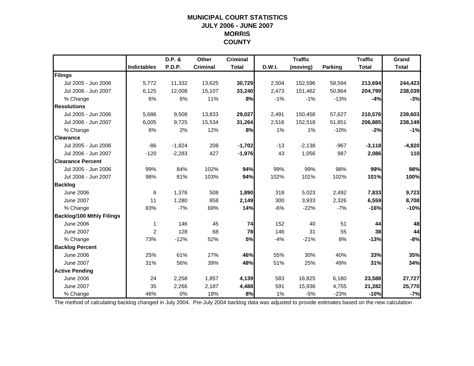#### **MUNICIPAL COURT STATISTICS JULY 2006 - JUNE 2007 MORRIS COUNTY**

|                                  |                    | $D.P.$ & | Other           | <b>Criminal</b> |               | <b>Traffic</b> |                | <b>Traffic</b> | Grand        |
|----------------------------------|--------------------|----------|-----------------|-----------------|---------------|----------------|----------------|----------------|--------------|
|                                  | <b>Indictables</b> | P.D.P.   | <b>Criminal</b> | <b>Total</b>    | <b>D.W.I.</b> | (moving)       | <b>Parking</b> | <b>Total</b>   | <b>Total</b> |
| Filings                          |                    |          |                 |                 |               |                |                |                |              |
| Jul 2005 - Jun 2006              | 5,772              | 11,332   | 13,625          | 30,729          | 2,504         | 152,596        | 58,594         | 213,694        | 244,423      |
| Jul 2006 - Jun 2007              | 6,125              | 12,008   | 15,107          | 33,240          | 2,473         | 151,462        | 50,864         | 204,799        | 238,039      |
| % Change                         | 6%                 | 6%       | 11%             | 8%              | $-1%$         | $-1%$          | $-13%$         | $-4%$          | $-3%$        |
| <b>Resolutions</b>               |                    |          |                 |                 |               |                |                |                |              |
| Jul 2005 - Jun 2006              | 5,686              | 9,508    | 13,833          | 29,027          | 2,491         | 150,458        | 57,627         | 210,576        | 239,603      |
| Jul 2006 - Jun 2007              | 6,005              | 9,725    | 15,534          | 31,264          | 2,516         | 152,518        | 51,851         | 206,885        | 238,149      |
| % Change                         | 6%                 | 2%       | 12%             | 8%              | 1%            | 1%             | $-10%$         | $-2%$          | $-1%$        |
| <b>Clearance</b>                 |                    |          |                 |                 |               |                |                |                |              |
| Jul 2005 - Jun 2006              | $-86$              | $-1,824$ | 208             | $-1,702$        | $-13$         | $-2,138$       | $-967$         | $-3,118$       | $-4,820$     |
| Jul 2006 - Jun 2007              | $-120$             | $-2,283$ | 427             | $-1,976$        | 43            | 1,056          | 987            | 2,086          | 110          |
| <b>Clearance Percent</b>         |                    |          |                 |                 |               |                |                |                |              |
| Jul 2005 - Jun 2006              | 99%                | 84%      | 102%            | 94%             | 99%           | 99%            | 98%            | 99%            | 98%          |
| Jul 2006 - Jun 2007              | 98%                | 81%      | 103%            | 94%             | 102%          | 101%           | 102%           | 101%           | 100%         |
| <b>Backlog</b>                   |                    |          |                 |                 |               |                |                |                |              |
| <b>June 2006</b>                 | 6                  | 1,376    | 508             | 1,890           | 318           | 5,023          | 2,492          | 7,833          | 9,723        |
| <b>June 2007</b>                 | 11                 | 1,280    | 858             | 2,149           | 300           | 3,933          | 2,326          | 6,559          | 8,708        |
| % Change                         | 83%                | $-7%$    | 69%             | 14%             | $-6%$         | $-22%$         | $-7%$          | $-16%$         | $-10%$       |
| <b>Backlog/100 Mthly Filings</b> |                    |          |                 |                 |               |                |                |                |              |
| <b>June 2006</b>                 | 1                  | 146      | 45              | 74              | 152           | 40             | 51             | 44             | 48           |
| <b>June 2007</b>                 | 2                  | 128      | 68              | 78              | 146           | 31             | 55             | 38             | 44           |
| % Change                         | 73%                | $-12%$   | 52%             | 5%              | $-4%$         | $-21%$         | 8%             | $-13%$         | $-8%$        |
| <b>Backlog Percent</b>           |                    |          |                 |                 |               |                |                |                |              |
| <b>June 2006</b>                 | 25%                | 61%      | 27%             | 46%             | 55%           | 30%            | 40%            | 33%            | 35%          |
| <b>June 2007</b>                 | 31%                | 56%      | 39%             | 48%             | 51%           | 25%            | 49%            | 31%            | 34%          |
| <b>Active Pending</b>            |                    |          |                 |                 |               |                |                |                |              |
| <b>June 2006</b>                 | 24                 | 2,258    | 1,857           | 4,139           | 583           | 16,825         | 6,180          | 23,588         | 27,727       |
| <b>June 2007</b>                 | 35                 | 2,266    | 2,187           | 4,488           | 591           | 15,936         | 4,755          | 21,282         | 25,770       |
| % Change                         | 46%                | 0%       | 18%             | 8%              | 1%            | $-5%$          | $-23%$         | $-10%$         | $-7%$        |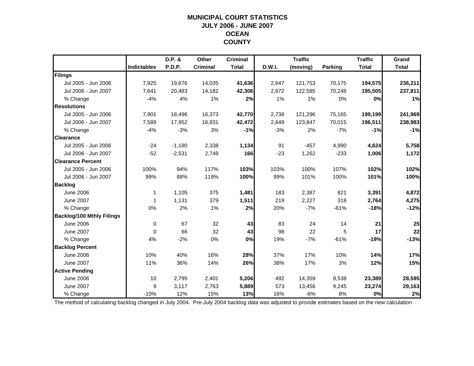#### **MUNICIPAL COURT STATISTICS JULY 2006 - JUNE 2007 OCEAN COUNTY**

|                                  |                    | D.P. &   | Other           | <b>Criminal</b> |        | <b>Traffic</b> |                | <b>Traffic</b> | Grand        |
|----------------------------------|--------------------|----------|-----------------|-----------------|--------|----------------|----------------|----------------|--------------|
|                                  | <b>Indictables</b> | P.D.P.   | <b>Criminal</b> | <b>Total</b>    | D.W.I. | (moving)       | <b>Parking</b> | <b>Total</b>   | <b>Total</b> |
| Filings                          |                    |          |                 |                 |        |                |                |                |              |
| Jul 2005 - Jun 2006              | 7,925              | 19,676   | 14,035          | 41,636          | 2,647  | 121,753        | 70,175         | 194,575        | 236,211      |
| Jul 2006 - Jun 2007              | 7,641              | 20,483   | 14,182          | 42,306          | 2,672  | 122,585        | 70,248         | 195,505        | 237,811      |
| % Change                         | $-4%$              | 4%       | 1%              | 2%              | 1%     | 1%             | 0%             | 0%             | 1%           |
| <b>Resolutions</b>               |                    |          |                 |                 |        |                |                |                |              |
| Jul 2005 - Jun 2006              | 7,901              | 18,496   | 16,373          | 42,770          | 2,738  | 121,296        | 75,165         | 199,199        | 241,969      |
| Jul 2006 - Jun 2007              | 7,589              | 17,952   | 16,931          | 42,472          | 2,649  | 123,847        | 70,015         | 196,511        | 238,983      |
| % Change                         | $-4%$              | $-3%$    | 3%              | $-1%$           | $-3%$  | 2%             | $-7%$          | $-1%$          | $-1%$        |
| <b>Clearance</b>                 |                    |          |                 |                 |        |                |                |                |              |
| Jul 2005 - Jun 2006              | $-24$              | $-1,180$ | 2,338           | 1,134           | 91     | $-457$         | 4,990          | 4,624          | 5,758        |
| Jul 2006 - Jun 2007              | $-52$              | $-2,531$ | 2,749           | 166             | $-23$  | 1,262          | $-233$         | 1,006          | 1,172        |
| <b>Clearance Percent</b>         |                    |          |                 |                 |        |                |                |                |              |
| Jul 2005 - Jun 2006              | 100%               | 94%      | 117%            | 103%            | 103%   | 100%           | 107%           | 102%           | 102%         |
| Jul 2006 - Jun 2007              | 99%                | 88%      | 119%            | 100%            | 99%    | 101%           | 100%           | 101%           | 100%         |
| <b>Backlog</b>                   |                    |          |                 |                 |        |                |                |                |              |
| <b>June 2006</b>                 | $\mathbf 1$        | 1,105    | 375             | 1,481           | 183    | 2,387          | 821            | 3,391          | 4,872        |
| <b>June 2007</b>                 | 1                  | 1,131    | 379             | 1,511           | 219    | 2,227          | 318            | 2,764          | 4,275        |
| % Change                         | 0%                 | 2%       | 1%              | 2%              | 20%    | $-7%$          | $-61%$         | $-18%$         | $-12%$       |
| <b>Backlog/100 Mthly Filings</b> |                    |          |                 |                 |        |                |                |                |              |
| <b>June 2006</b>                 | 0                  | 67       | 32              | 43              | 83     | 24             | 14             | 21             | 25           |
| <b>June 2007</b>                 | 0                  | 66       | 32              | 43              | 98     | 22             | 5              | 17             | 22           |
| % Change                         | 4%                 | $-2%$    | 0%              | 0%              | 19%    | $-7%$          | $-61%$         | $-19%$         | $-13%$       |
| <b>Backlog Percent</b>           |                    |          |                 |                 |        |                |                |                |              |
| <b>June 2006</b>                 | 10%                | 40%      | 16%             | 28%             | 37%    | 17%            | 10%            | 14%            | 17%          |
| <b>June 2007</b>                 | 11%                | 36%      | 14%             | 26%             | 38%    | 17%            | 3%             | 12%            | 15%          |
| <b>Active Pending</b>            |                    |          |                 |                 |        |                |                |                |              |
| <b>June 2006</b>                 | 10                 | 2.795    | 2,401           | 5,206           | 492    | 14,359         | 8,538          | 23,389         | 28,595       |
| <b>June 2007</b>                 | 9                  | 3,117    | 2,763           | 5,889           | 573    | 13,456         | 9,245          | 23,274         | 29,163       |
| % Change                         | $-10%$             | 12%      | 15%             | 13%             | 16%    | $-6%$          | 8%             | 0%             | 2%           |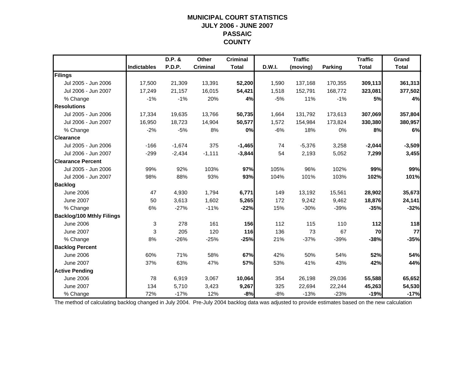#### **MUNICIPAL COURT STATISTICS JULY 2006 - JUNE 2007 PASSAIC COUNTY**

|                                  |                    | D.P. &   | Other           | <b>Criminal</b> |        | <b>Traffic</b> |                | <b>Traffic</b> | Grand        |
|----------------------------------|--------------------|----------|-----------------|-----------------|--------|----------------|----------------|----------------|--------------|
|                                  | <b>Indictables</b> | P.D.P.   | <b>Criminal</b> | <b>Total</b>    | D.W.I. | (moving)       | <b>Parking</b> | <b>Total</b>   | <b>Total</b> |
| Filings                          |                    |          |                 |                 |        |                |                |                |              |
| Jul 2005 - Jun 2006              | 17,500             | 21,309   | 13,391          | 52,200          | 1,590  | 137,168        | 170,355        | 309,113        | 361,313      |
| Jul 2006 - Jun 2007              | 17,249             | 21,157   | 16,015          | 54,421          | 1,518  | 152,791        | 168,772        | 323,081        | 377,502      |
| % Change                         | $-1%$              | $-1%$    | 20%             | 4%              | $-5%$  | 11%            | $-1%$          | 5%             | 4%           |
| <b>Resolutions</b>               |                    |          |                 |                 |        |                |                |                |              |
| Jul 2005 - Jun 2006              | 17,334             | 19,635   | 13,766          | 50,735          | 1,664  | 131,792        | 173,613        | 307,069        | 357,804      |
| Jul 2006 - Jun 2007              | 16,950             | 18,723   | 14,904          | 50,577          | 1,572  | 154,984        | 173,824        | 330,380        | 380,957      |
| % Change                         | $-2%$              | $-5%$    | 8%              | 0%              | $-6%$  | 18%            | 0%             | 8%             | 6%           |
| <b>Clearance</b>                 |                    |          |                 |                 |        |                |                |                |              |
| Jul 2005 - Jun 2006              | $-166$             | $-1,674$ | 375             | $-1,465$        | 74     | $-5,376$       | 3,258          | $-2,044$       | $-3,509$     |
| Jul 2006 - Jun 2007              | $-299$             | $-2,434$ | $-1,111$        | $-3,844$        | 54     | 2,193          | 5,052          | 7,299          | 3,455        |
| <b>Clearance Percent</b>         |                    |          |                 |                 |        |                |                |                |              |
| Jul 2005 - Jun 2006              | 99%                | 92%      | 103%            | 97%             | 105%   | 96%            | 102%           | 99%            | 99%          |
| Jul 2006 - Jun 2007              | 98%                | 88%      | 93%             | 93%             | 104%   | 101%           | 103%           | 102%           | 101%         |
| <b>Backlog</b>                   |                    |          |                 |                 |        |                |                |                |              |
| <b>June 2006</b>                 | 47                 | 4,930    | 1,794           | 6,771           | 149    | 13,192         | 15,561         | 28,902         | 35,673       |
| <b>June 2007</b>                 | 50                 | 3,613    | 1,602           | 5,265           | 172    | 9,242          | 9,462          | 18,876         | 24,141       |
| % Change                         | 6%                 | $-27%$   | $-11%$          | $-22%$          | 15%    | $-30%$         | $-39%$         | $-35%$         | $-32%$       |
| <b>Backlog/100 Mthly Filings</b> |                    |          |                 |                 |        |                |                |                |              |
| <b>June 2006</b>                 | 3                  | 278      | 161             | 156             | 112    | 115            | 110            | 112            | 118          |
| <b>June 2007</b>                 | 3                  | 205      | 120             | 116             | 136    | 73             | 67             | 70             | 77           |
| % Change                         | 8%                 | $-26%$   | $-25%$          | $-25%$          | 21%    | $-37%$         | $-39%$         | $-38%$         | $-35%$       |
| <b>Backlog Percent</b>           |                    |          |                 |                 |        |                |                |                |              |
| <b>June 2006</b>                 | 60%                | 71%      | 58%             | 67%             | 42%    | 50%            | 54%            | 52%            | 54%          |
| <b>June 2007</b>                 | 37%                | 63%      | 47%             | 57%             | 53%    | 41%            | 43%            | 42%            | 44%          |
| <b>Active Pending</b>            |                    |          |                 |                 |        |                |                |                |              |
| <b>June 2006</b>                 | 78                 | 6,919    | 3,067           | 10,064          | 354    | 26,198         | 29,036         | 55,588         | 65,652       |
| <b>June 2007</b>                 | 134                | 5,710    | 3,423           | 9,267           | 325    | 22,694         | 22,244         | 45,263         | 54,530       |
| % Change                         | 72%                | $-17%$   | 12%             | $-8%$           | $-8%$  | $-13%$         | $-23%$         | $-19%$         | $-17%$       |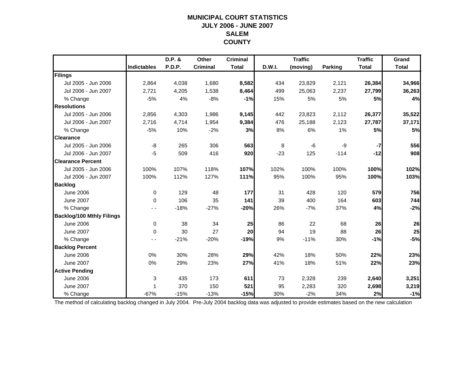#### **MUNICIPAL COURT STATISTICS JULY 2006 - JUNE 2007 SALEMCOUNTY**

|                                  |                    | D.P. &        | Other           | <b>Criminal</b> |        | <b>Traffic</b> |                | <b>Traffic</b> | Grand        |
|----------------------------------|--------------------|---------------|-----------------|-----------------|--------|----------------|----------------|----------------|--------------|
|                                  | <b>Indictables</b> | <b>P.D.P.</b> | <b>Criminal</b> | <b>Total</b>    | D.W.I. | (moving)       | <b>Parking</b> | <b>Total</b>   | <b>Total</b> |
| Filings                          |                    |               |                 |                 |        |                |                |                |              |
| Jul 2005 - Jun 2006              | 2,864              | 4,038         | 1,680           | 8,582           | 434    | 23,829         | 2,121          | 26,384         | 34,966       |
| Jul 2006 - Jun 2007              | 2,721              | 4,205         | 1,538           | 8,464           | 499    | 25,063         | 2,237          | 27,799         | 36,263       |
| % Change                         | $-5%$              | 4%            | $-8%$           | $-1%$           | 15%    | 5%             | 5%             | 5%             | 4%           |
| <b>Resolutions</b>               |                    |               |                 |                 |        |                |                |                |              |
| Jul 2005 - Jun 2006              | 2,856              | 4,303         | 1,986           | 9,145           | 442    | 23,823         | 2,112          | 26,377         | 35,522       |
| Jul 2006 - Jun 2007              | 2,716              | 4,714         | 1,954           | 9,384           | 476    | 25,188         | 2,123          | 27,787         | 37,171       |
| % Change                         | $-5%$              | 10%           | $-2%$           | 3%              | 8%     | 6%             | 1%             | 5%             | 5%           |
| <b>Clearance</b>                 |                    |               |                 |                 |        |                |                |                |              |
| Jul 2005 - Jun 2006              | -8                 | 265           | 306             | 563             | 8      | -6             | -9             | $-7$           | 556          |
| Jul 2006 - Jun 2007              | $-5$               | 509           | 416             | 920             | $-23$  | 125            | $-114$         | $-12$          | 908          |
| <b>Clearance Percent</b>         |                    |               |                 |                 |        |                |                |                |              |
| Jul 2005 - Jun 2006              | 100%               | 107%          | 118%            | 107%            | 102%   | 100%           | 100%           | 100%           | 102%         |
| Jul 2006 - Jun 2007              | 100%               | 112%          | 127%            | 111%            | 95%    | 100%           | 95%            | 100%           | 103%         |
| <b>Backlog</b>                   |                    |               |                 |                 |        |                |                |                |              |
| <b>June 2006</b>                 | $\mathbf 0$        | 129           | 48              | 177             | 31     | 428            | 120            | 579            | 756          |
| <b>June 2007</b>                 | 0                  | 106           | 35              | 141             | 39     | 400            | 164            | 603            | 744          |
| % Change                         |                    | $-18%$        | $-27%$          | $-20%$          | 26%    | $-7%$          | 37%            | 4%             | $-2%$        |
| <b>Backlog/100 Mthly Filings</b> |                    |               |                 |                 |        |                |                |                |              |
| <b>June 2006</b>                 | $\mathbf 0$        | 38            | 34              | 25              | 86     | 22             | 68             | 26             | 26           |
| <b>June 2007</b>                 | $\Omega$           | 30            | 27              | 20              | 94     | 19             | 88             | 26             | 25           |
| % Change                         | - -                | $-21%$        | $-20%$          | $-19%$          | 9%     | $-11%$         | 30%            | $-1%$          | $-5%$        |
| <b>Backlog Percent</b>           |                    |               |                 |                 |        |                |                |                |              |
| <b>June 2006</b>                 | 0%                 | 30%           | 28%             | 29%             | 42%    | 18%            | 50%            | 22%            | 23%          |
| <b>June 2007</b>                 | 0%                 | 29%           | 23%             | 27%             | 41%    | 18%            | 51%            | 22%            | 23%          |
| <b>Active Pending</b>            |                    |               |                 |                 |        |                |                |                |              |
| <b>June 2006</b>                 | 3                  | 435           | 173             | 611             | 73     | 2,328          | 239            | 2,640          | 3,251        |
| <b>June 2007</b>                 | 1                  | 370           | 150             | 521             | 95     | 2,283          | 320            | 2,698          | 3,219        |
| % Change                         | $-67%$             | $-15%$        | $-13%$          | $-15%$          | 30%    | $-2%$          | 34%            | 2%             | $-1%$        |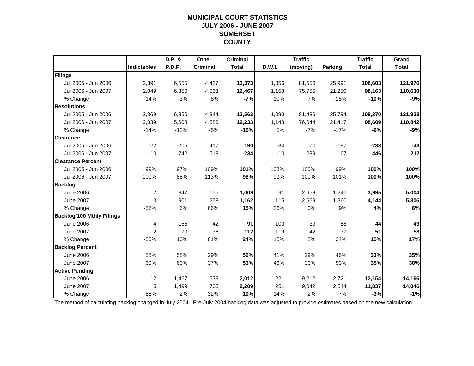#### **MUNICIPAL COURT STATISTICS JULY 2006 - JUNE 2007 SOMERSET COUNTY**

|                                  |                    | D.P. & | Other           | <b>Criminal</b> |               | <b>Traffic</b> |                | <b>Traffic</b> | Grand        |
|----------------------------------|--------------------|--------|-----------------|-----------------|---------------|----------------|----------------|----------------|--------------|
|                                  | <b>Indictables</b> | P.D.P. | <b>Criminal</b> | <b>Total</b>    | <b>D.W.I.</b> | (moving)       | <b>Parking</b> | <b>Total</b>   | <b>Total</b> |
| Filings                          |                    |        |                 |                 |               |                |                |                |              |
| Jul 2005 - Jun 2006              | 2,391              | 6,555  | 4,427           | 13,373          | 1,056         | 81,556         | 25,991         | 108,603        | 121,976      |
| Jul 2006 - Jun 2007              | 2,049              | 6,350  | 4,068           | 12,467          | 1,158         | 75,755         | 21,250         | 98,163         | 110,630      |
| % Change                         | $-14%$             | $-3%$  | $-8%$           | $-7%$           | 10%           | $-7%$          | $-18%$         | $-10%$         | $-9%$        |
| <b>Resolutions</b>               |                    |        |                 |                 |               |                |                |                |              |
| Jul 2005 - Jun 2006              | 2,369              | 6,350  | 4,844           | 13,563          | 1,090         | 81,486         | 25,794         | 108,370        | 121,933      |
| Jul 2006 - Jun 2007              | 2,039              | 5,608  | 4,586           | 12,233          | 1,148         | 76,044         | 21,417         | 98,609         | 110,842      |
| % Change                         | $-14%$             | $-12%$ | $-5%$           | $-10%$          | 5%            | $-7%$          | $-17%$         | $-9%$          | $-9%$        |
| <b>Clearance</b>                 |                    |        |                 |                 |               |                |                |                |              |
| Jul 2005 - Jun 2006              | $-22$              | $-205$ | 417             | 190             | 34            | $-70$          | $-197$         | $-233$         | $-43$        |
| Jul 2006 - Jun 2007              | $-10$              | $-742$ | 518             | $-234$          | $-10$         | 289            | 167            | 446            | 212          |
| <b>Clearance Percent</b>         |                    |        |                 |                 |               |                |                |                |              |
| Jul 2005 - Jun 2006              | 99%                | 97%    | 109%            | 101%            | 103%          | 100%           | 99%            | 100%           | 100%         |
| Jul 2006 - Jun 2007              | 100%               | 88%    | 113%            | 98%             | 99%           | 100%           | 101%           | 100%           | 100%         |
| <b>Backlog</b>                   |                    |        |                 |                 |               |                |                |                |              |
| <b>June 2006</b>                 | $\overline{7}$     | 847    | 155             | 1,009           | 91            | 2,658          | 1,246          | 3,995          | 5,004        |
| <b>June 2007</b>                 | 3                  | 901    | 258             | 1,162           | 115           | 2,669          | 1,360          | 4,144          | 5,306        |
| % Change                         | $-57%$             | 6%     | 66%             | 15%             | 26%           | 0%             | 9%             | 4%             | 6%           |
| <b>Backlog/100 Mthly Filings</b> |                    |        |                 |                 |               |                |                |                |              |
| <b>June 2006</b>                 | 4                  | 155    | 42              | 91              | 103           | 39             | 58             | 44             | 49           |
| <b>June 2007</b>                 | 2                  | 170    | 76              | $112$           | 119           | 42             | 77             | 51             | 58           |
| % Change                         | $-50%$             | 10%    | 81%             | 24%             | 15%           | 8%             | 34%            | 15%            | 17%          |
| <b>Backlog Percent</b>           |                    |        |                 |                 |               |                |                |                |              |
| <b>June 2006</b>                 | 58%                | 58%    | 29%             | 50%             | 41%           | 29%            | 46%            | 33%            | 35%          |
| <b>June 2007</b>                 | 60%                | 60%    | 37%             | 53%             | 46%           | 30%            | 53%            | 35%            | 38%          |
| <b>Active Pending</b>            |                    |        |                 |                 |               |                |                |                |              |
| <b>June 2006</b>                 | 12                 | 1,467  | 533             | 2,012           | 221           | 9,212          | 2,721          | 12,154         | 14,166       |
| <b>June 2007</b>                 | 5                  | 1,499  | 705             | 2,209           | 251           | 9,042          | 2,544          | 11,837         | 14,046       |
| % Change                         | $-58%$             | 2%     | 32%             | 10%             | 14%           | $-2%$          | $-7%$          | $-3%$          | $-1%$        |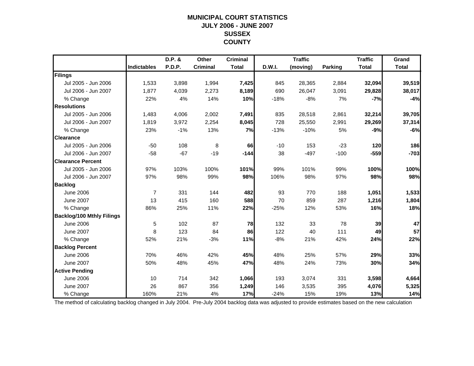#### **MUNICIPAL COURT STATISTICS JULY 2006 - JUNE 2007 SUSSEX COUNTY**

|                                  |                    | D.P. &        | Other           | <b>Criminal</b> |        | <b>Traffic</b> |                | <b>Traffic</b> | Grand        |
|----------------------------------|--------------------|---------------|-----------------|-----------------|--------|----------------|----------------|----------------|--------------|
|                                  | <b>Indictables</b> | <b>P.D.P.</b> | <b>Criminal</b> | <b>Total</b>    | D.W.I. | (moving)       | <b>Parking</b> | <b>Total</b>   | <b>Total</b> |
| Filings                          |                    |               |                 |                 |        |                |                |                |              |
| Jul 2005 - Jun 2006              | 1,533              | 3,898         | 1,994           | 7,425           | 845    | 28,365         | 2,884          | 32,094         | 39,519       |
| Jul 2006 - Jun 2007              | 1.877              | 4,039         | 2,273           | 8,189           | 690    | 26,047         | 3,091          | 29,828         | 38,017       |
| % Change                         | 22%                | 4%            | 14%             | 10%             | $-18%$ | $-8%$          | 7%             | $-7%$          | $-4%$        |
| <b>Resolutions</b>               |                    |               |                 |                 |        |                |                |                |              |
| Jul 2005 - Jun 2006              | 1,483              | 4,006         | 2,002           | 7,491           | 835    | 28,518         | 2,861          | 32,214         | 39,705       |
| Jul 2006 - Jun 2007              | 1,819              | 3,972         | 2,254           | 8,045           | 728    | 25,550         | 2,991          | 29,269         | 37,314       |
| % Change                         | 23%                | $-1%$         | 13%             | 7%              | $-13%$ | $-10%$         | 5%             | $-9%$          | $-6%$        |
| <b>Clearance</b>                 |                    |               |                 |                 |        |                |                |                |              |
| Jul 2005 - Jun 2006              | $-50$              | 108           | 8               | 66              | $-10$  | 153            | $-23$          | 120            | 186          |
| Jul 2006 - Jun 2007              | $-58$              | $-67$         | $-19$           | $-144$          | 38     | $-497$         | $-100$         | $-559$         | $-703$       |
| <b>Clearance Percent</b>         |                    |               |                 |                 |        |                |                |                |              |
| Jul 2005 - Jun 2006              | 97%                | 103%          | 100%            | 101%            | 99%    | 101%           | 99%            | 100%           | 100%         |
| Jul 2006 - Jun 2007              | 97%                | 98%           | 99%             | 98%             | 106%   | 98%            | 97%            | 98%            | 98%          |
| <b>Backlog</b>                   |                    |               |                 |                 |        |                |                |                |              |
| <b>June 2006</b>                 | $\overline{7}$     | 331           | 144             | 482             | 93     | 770            | 188            | 1,051          | 1,533        |
| <b>June 2007</b>                 | 13                 | 415           | 160             | 588             | 70     | 859            | 287            | 1,216          | 1,804        |
| % Change                         | 86%                | 25%           | 11%             | 22%             | $-25%$ | 12%            | 53%            | 16%            | 18%          |
| <b>Backlog/100 Mthly Filings</b> |                    |               |                 |                 |        |                |                |                |              |
| <b>June 2006</b>                 | 5                  | 102           | 87              | 78              | 132    | 33             | 78             | 39             | 47           |
| <b>June 2007</b>                 | 8                  | 123           | 84              | 86              | 122    | 40             | 111            | 49             | 57           |
| % Change                         | 52%                | 21%           | $-3%$           | 11%             | $-8%$  | 21%            | 42%            | 24%            | 22%          |
| <b>Backlog Percent</b>           |                    |               |                 |                 |        |                |                |                |              |
| <b>June 2006</b>                 | 70%                | 46%           | 42%             | 45%             | 48%    | 25%            | 57%            | 29%            | 33%          |
| <b>June 2007</b>                 | 50%                | 48%           | 45%             | 47%             | 48%    | 24%            | 73%            | 30%            | 34%          |
| <b>Active Pending</b>            |                    |               |                 |                 |        |                |                |                |              |
| <b>June 2006</b>                 | 10                 | 714           | 342             | 1,066           | 193    | 3,074          | 331            | 3,598          | 4,664        |
| <b>June 2007</b>                 | 26                 | 867           | 356             | 1,249           | 146    | 3,535          | 395            | 4,076          | 5,325        |
| % Change                         | 160%               | 21%           | 4%              | 17%             | $-24%$ | 15%            | 19%            | 13%            | 14%          |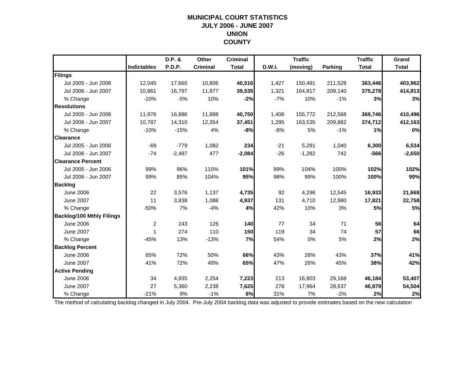#### **MUNICIPAL COURT STATISTICS JULY 2006 - JUNE 2007 UNION COUNTY**

|                                  |                    | D.P. &   | Other           | <b>Criminal</b> |        | <b>Traffic</b> |                | <b>Traffic</b> | Grand        |
|----------------------------------|--------------------|----------|-----------------|-----------------|--------|----------------|----------------|----------------|--------------|
|                                  | <b>Indictables</b> | P.D.P.   | <b>Criminal</b> | <b>Total</b>    | D.W.I. | (moving)       | <b>Parking</b> | <b>Total</b>   | <b>Total</b> |
| Filings                          |                    |          |                 |                 |        |                |                |                |              |
| Jul 2005 - Jun 2006              | 12,045             | 17,665   | 10,806          | 40,516          | 1,427  | 150,491        | 211,528        | 363,446        | 403,962      |
| Jul 2006 - Jun 2007              | 10,861             | 16,797   | 11,877          | 39,535          | 1,321  | 164,817        | 209,140        | 375,278        | 414,813      |
| % Change                         | $-10%$             | $-5%$    | 10%             | $-2%$           | $-7%$  | 10%            | $-1%$          | 3%             | 3%           |
| <b>Resolutions</b>               |                    |          |                 |                 |        |                |                |                |              |
| Jul 2005 - Jun 2006              | 11.976             | 16,886   | 11,888          | 40,750          | 1,406  | 155,772        | 212,568        | 369,746        | 410,496      |
| Jul 2006 - Jun 2007              | 10,787             | 14,310   | 12,354          | 37,451          | 1,295  | 163,535        | 209,882        | 374,712        | 412,163      |
| % Change                         | $-10%$             | $-15%$   | 4%              | -8%             | $-8%$  | 5%             | $-1%$          | 1%             | 0%           |
| <b>Clearance</b>                 |                    |          |                 |                 |        |                |                |                |              |
| Jul 2005 - Jun 2006              | $-69$              | $-779$   | 1,082           | 234             | $-21$  | 5,281          | 1,040          | 6,300          | 6,534        |
| Jul 2006 - Jun 2007              | $-74$              | $-2,487$ | 477             | $-2,084$        | $-26$  | $-1,282$       | 742            | $-566$         | $-2,650$     |
| <b>Clearance Percent</b>         |                    |          |                 |                 |        |                |                |                |              |
| Jul 2005 - Jun 2006              | 99%                | 96%      | 110%            | 101%            | 99%    | 104%           | 100%           | 102%           | 102%         |
| Jul 2006 - Jun 2007              | 99%                | 85%      | 104%            | 95%             | 98%    | 99%            | 100%           | 100%           | 99%          |
| <b>Backlog</b>                   |                    |          |                 |                 |        |                |                |                |              |
| <b>June 2006</b>                 | 22                 | 3,576    | 1,137           | 4,735           | 92     | 4,296          | 12,545         | 16,933         | 21,668       |
| <b>June 2007</b>                 | 11                 | 3,838    | 1,088           | 4,937           | 131    | 4,710          | 12,980         | 17,821         | 22,758       |
| % Change                         | $-50%$             | 7%       | $-4%$           | 4%              | 42%    | 10%            | 3%             | 5%             | 5%           |
| <b>Backlog/100 Mthly Filings</b> |                    |          |                 |                 |        |                |                |                |              |
| <b>June 2006</b>                 | $\overline{c}$     | 243      | 126             | 140             | 77     | 34             | 71             | 56             | 64           |
| <b>June 2007</b>                 | 1                  | 274      | 110             | 150             | 119    | 34             | 74             | 57             | 66           |
| % Change                         | $-45%$             | 13%      | $-13%$          | 7%              | 54%    | $0\%$          | 5%             | 2%             | 2%           |
| <b>Backlog Percent</b>           |                    |          |                 |                 |        |                |                |                |              |
| <b>June 2006</b>                 | 65%                | 72%      | 50%             | 66%             | 43%    | 26%            | 43%            | 37%            | 41%          |
| <b>June 2007</b>                 | 41%                | 72%      | 49%             | 65%             | 47%    | 26%            | 45%            | 38%            | 42%          |
| <b>Active Pending</b>            |                    |          |                 |                 |        |                |                |                |              |
| <b>June 2006</b>                 | 34                 | 4,935    | 2,254           | 7,223           | 213    | 16,803         | 29,168         | 46,184         | 53,407       |
| <b>June 2007</b>                 | 27                 | 5,360    | 2,238           | 7,625           | 278    | 17,964         | 28,637         | 46,879         | 54,504       |
| % Change                         | $-21%$             | 9%       | $-1%$           | 6%              | 31%    | 7%             | $-2%$          | 2%             | 2%           |